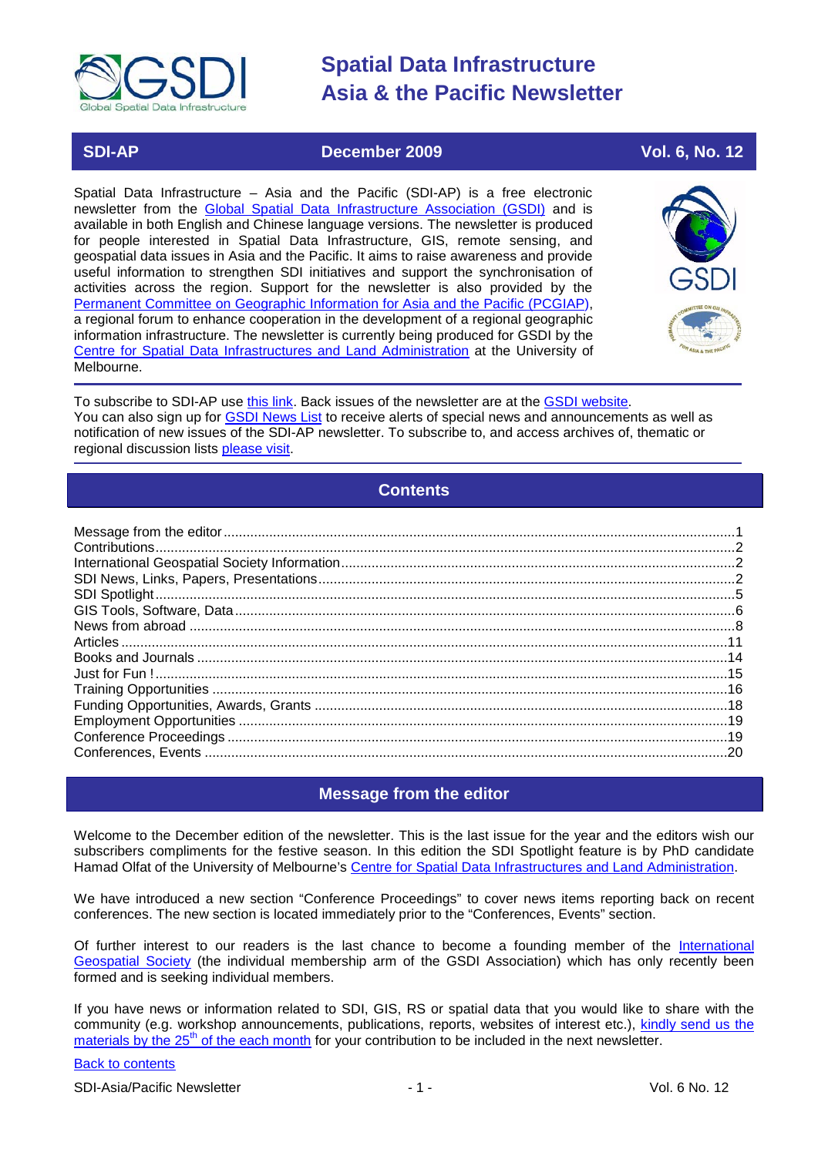

## **SDI-AP December 2009 Vol. 6, No. 12**

Spatial Data Infrastructure – Asia and the Pacific (SDI-AP) is a free electronic newsletter from the [Global Spatial Data Infrastructure Association \(GSDI\)](http://www.gsdi.org/) and is available in both English and Chinese language versions. The newsletter is produced for people interested in Spatial Data Infrastructure, GIS, remote sensing, and geospatial data issues in Asia and the Pacific. It aims to raise awareness and provide useful information to strengthen SDI initiatives and support the synchronisation of activities across the region. Support for the newsletter is also provided by the [Permanent Committee on Geographic Information for Asia and the Pacific \(PCGIAP\)](http://www.pcgiap.org/), a regional forum to enhance cooperation in the development of a regional geographic information infrastructure. The newsletter is currently being produced for GSDI by the [Centre for Spatial Data Infrastructures and Land Administration](http://www.csdila.unimelb.edu.au/) at the University of Melbourne.



To subscribe to SDI-AP use [this link.](http://www.gsdi.org/newslist/gsdisubscribe.asp) Back issues of the newsletter are at the [GSDI website.](http://www.gsdi.org/newsletters.asp) You can also sign up for **GSDI News List** to receive alerts of special news and announcements as well as notification of new issues of the SDI-AP newsletter. To subscribe to, and access archives of, thematic or regional discussion lists [please visit.](http://www.gsdi.org/discussionlists.asp)

# **Contents**

<span id="page-0-0"></span>

## **Message from the editor**

<span id="page-0-1"></span>Welcome to the December edition of the newsletter. This is the last issue for the year and the editors wish our subscribers compliments for the festive season. In this edition the SDI Spotlight feature is by PhD candidate Hamad Olfat of the University of Melbourne's [Centre for Spatial Data Infrastructures and Land Administration.](http://www.csdila.unimelb.edu.au/)

We have introduced a new section "Conference Proceedings" to cover news items reporting back on recent conferences. The new section is located immediately prior to the "Conferences, Events" section.

Of further interest to our readers is the last chance to become a founding member of the [International](http://www.igeoss.org/)  [Geospatial Society](http://www.igeoss.org/) (the individual membership arm of the GSDI Association) which has only recently been formed and is seeking individual members.

If you have news or information related to SDI, GIS, RS or spatial data that you would like to share with the community (e.g. workshop announcements, publications, reports, websites of interest etc.), [kindly send us](mailto:sdi-ap@gsdi.org) the [materials by the 25](mailto:sdi-ap@gsdi.org)<sup>th</sup> of the each month for your contribution to be included in the next newsletter.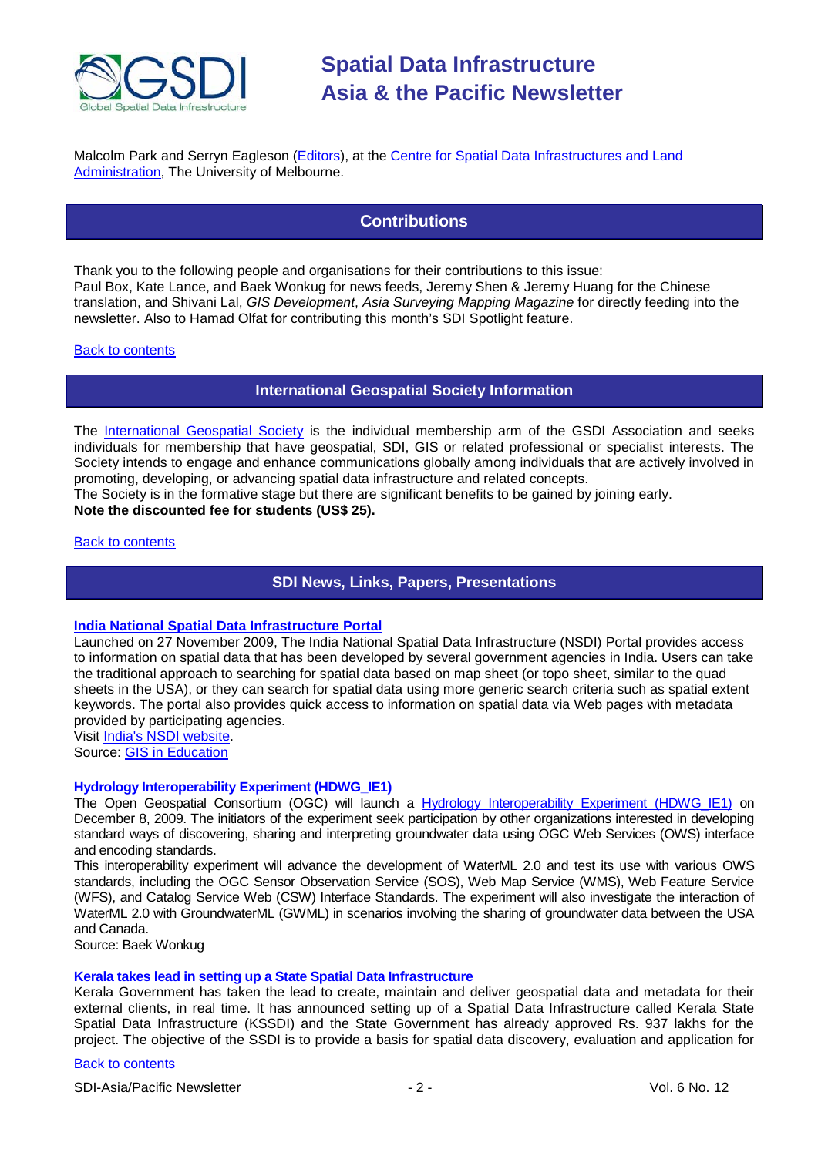

<span id="page-1-0"></span>Malcolm Park and Serryn Eagleson [\(Editors\)](mailto:Editor.SDIAP@gmail.com), at the [Centre for Spatial Data Infrastructures and Land](http://www.csdila.unimelb.edu.au/)  [Administration,](http://www.csdila.unimelb.edu.au/) The University of Melbourne.

## **Contributions**

Thank you to the following people and organisations for their contributions to this issue: Paul Box, Kate Lance, and Baek Wonkug for news feeds, Jeremy Shen & Jeremy Huang for the Chinese translation, and Shivani Lal, *GIS Development*, *Asia Surveying Mapping Magazine* for directly feeding into the newsletter. Also to Hamad Olfat for contributing this month's SDI Spotlight feature.

#### <span id="page-1-1"></span>[Back to contents](#page-0-0)

#### **International Geospatial Society Information**

The [International Geospatial Society](http://www.igeoss.org/) is the individual membership arm of the GSDI Association and seeks individuals for membership that have geospatial, SDI, GIS or related professional or specialist interests. The Society intends to engage and enhance communications globally among individuals that are actively involved in promoting, developing, or advancing spatial data infrastructure and related concepts.

The Society is in the formative stage but there are significant benefits to be gained by joining early. **Note the discounted fee for students (US\$ 25).**

#### <span id="page-1-2"></span>[Back to contents](#page-0-0)

### **SDI News, Links, Papers, Presentations**

#### **[India National Spatial Data Infrastructure Portal](http://www.educationgis.com/2009/11/india-national-spatial-data.html)**

Launched on 27 November 2009, The India National Spatial Data Infrastructure (NSDI) Portal provides access to information on spatial data that has been developed by several government agencies in India. Users can take the traditional approach to searching for spatial data based on map sheet (or topo sheet, similar to the quad sheets in the USA), or they can search for spatial data using more generic search criteria such as spatial extent keywords. The portal also provides quick access to information on spatial data via Web pages with metadata provided by participating agencies.

Visit [India's NSDI website.](http://nsdiindia.gov.in/nsdi/nsdiportal/index.jsp)

Source: GIS [in Education](http://www.educationgis.com/)

#### **Hydrology Interoperability Experiment (HDWG\_IE1)**

The Open Geospatial Consortium (OGC) will launch a [Hydrology Interoperability Experiment \(HDWG\\_IE1\)](http://external.opengis.org/twiki_public/bin/view/HydrologyDWG/GroundwaterInteroperabilityExperiment) on December 8, 2009. The initiators of the experiment seek participation by other organizations interested in developing standard ways of discovering, sharing and interpreting groundwater data using OGC Web Services (OWS) interface and encoding standards.

This interoperability experiment will advance the development of WaterML 2.0 and test its use with various OWS standards, including the OGC Sensor Observation Service (SOS), Web Map Service (WMS), Web Feature Service (WFS), and Catalog Service Web (CSW) Interface Standards. The experiment will also investigate the interaction of WaterML 2.0 with GroundwaterML (GWML) in scenarios involving the sharing of groundwater data between the USA and Canada.

Source: Baek Wonkug

#### **Kerala takes lead in setting up a State Spatial Data Infrastructure**

Kerala Government has taken the lead to create, maintain and deliver geospatial data and metadata for their external clients, in real time. It has announced setting up of a Spatial Data Infrastructure called Kerala State Spatial Data Infrastructure (KSSDI) and the State Government has already approved Rs. 937 lakhs for the project. The objective of the SSDI is to provide a basis for spatial data discovery, evaluation and application for

#### [Back to contents](#page-0-0)

SDI-Asia/Pacific Newsletter  $\sim$  2 - 2 - Vol. 6 No. 12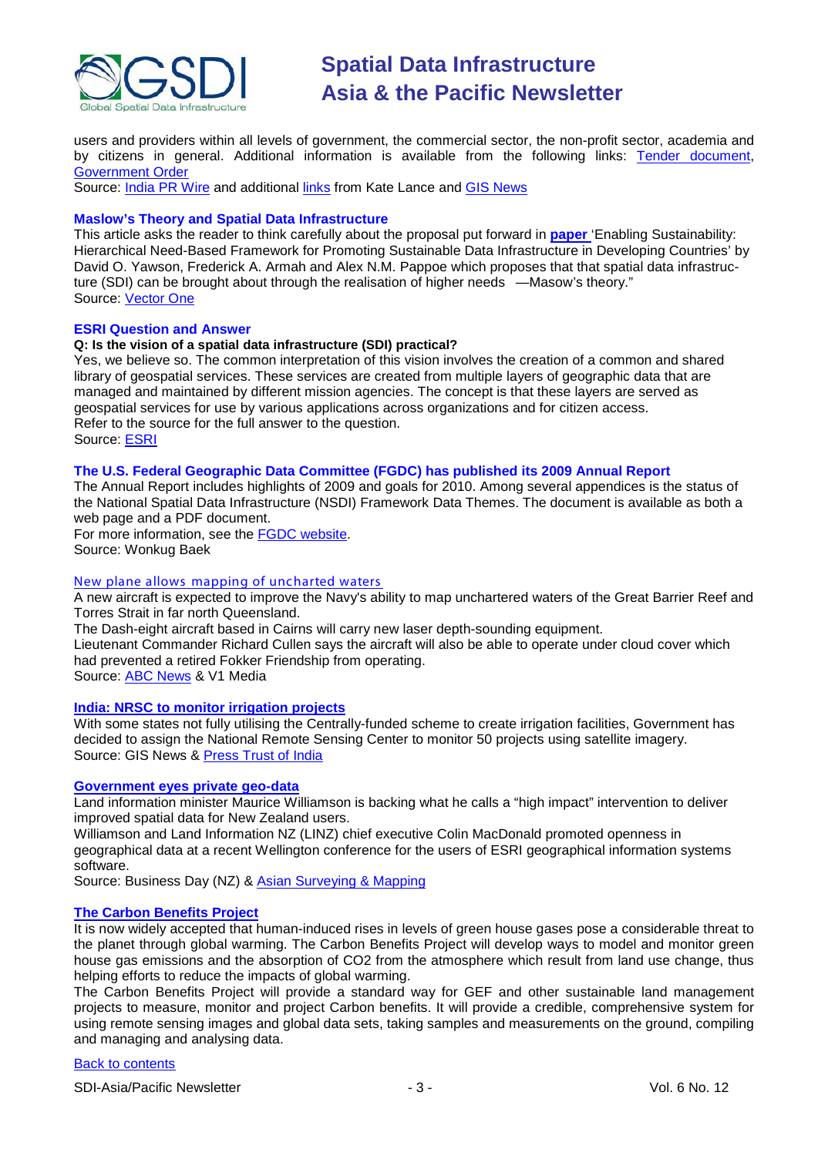

users and providers within all levels of government, the commercial sector, the non-profit sector, academia and by citizens in general. Additional information is available from the following links: [Tender document,](http://www.itmission.kerala.gov.in/index.php?option=com_content&view=article&id=361:request-for-proposals-rfp-for-selection-of-tsp-for-setting-up-of-a-geoportal-and-clearinghouse-for-the-kerala-state-spatial-data-infrastructure-ksdi&catid=49:tender-notices) [Government Order](http://www.itmission.kerala.gov.in/index.php?option=com_docman&task=doc_download&gid=243&Itemid=140)

Source: [India PR Wire](http://www.indiaprwire.com/pressrelease/information-technology/2009110536981.htm) and additional [links](http://www.ciol.com/News/News-Reports/Kerala-moves-ahead-in-setting-up-KSSDI/41109127317/0/) from Kate Lance and [GIS News](http://www.gisdevelopment.net/news/viewn.asp?id=GIS:N_mciupnzjov&Ezine=nov0909§ion=News)

#### **Maslow's Theory and Spatial Data Infrastructure**

This article asks the reader to think carefully about the proposal put forward in **[paper](http://www.mdpi.com/2071-1050/1/4/946/pdf)** 'Enabling Sustainability: Hierarchical Need-Based Framework for Promoting Sustainable Data Infrastructure in Developing Countries' by David O. Yawson, Frederick A. Armah and Alex N.M. Pappoe which proposes that that spatial data infrastructure (SDI) can be brought about through the realisation of higher needs - Masow's theory." Source: [Vector](http://www.vector1media.com/vectorone/?p=4064) One

#### **ESRI Question and Answer**

#### **Q: Is the vision of a spatial data infrastructure (SDI) practical?**

Yes, we believe so. The common interpretation of this vision involves the creation of a common and shared library of geospatial services. These services are created from multiple layers of geographic data that are managed and maintained by different mission agencies. The concept is that these layers are served as geospatial services for use by various applications across organizations and for citizen access. Refer to the source for the full answer to the question. Source: [ESRI](http://events.esri.com/uc/QandA/index.cfm?fuseaction=answer&conferenceId=069FD41D-1422-2418-884CB3BF346EE29E&questionId=2703)

#### **The U.S. Federal Geographic Data Committee (FGDC) has published its 2009 Annual Report**

The Annual Report includes highlights of 2009 and goals for 2010. Among several appendices is the status of the National Spatial Data Infrastructure (NSDI) Framework Data Themes. The document is available as both a web page and a PDF document.

For more information, see the [FGDC website.](http://www.fgdc.gov/fgdc-news/2009-fgdc-annual-report) Source: Wonkug Baek

#### [New plane allows mapping of uncharted waters](http://vector1media.com/news/headlines/9974-new-plane-allows-mapping-of-uncharted-waters)

A new aircraft is expected to improve the Navy's ability to map unchartered waters of the Great Barrier Reef and Torres Strait in far north Queensland.

The Dash-eight aircraft based in Cairns will carry new laser depth-sounding equipment. Lieutenant Commander Richard Cullen says the aircraft will also be able to operate under cloud cover which had prevented a retired Fokker Friendship from operating. Source: [ABC News](http://www.abc.net.au/news/stories/2009/11/11/2739232.htm) & V1 Media

#### **[India: NRSC to monitor irrigation projects](http://www.gisdevelopment.net/news/viewn.asp?id=GIS:N_uveaqgbcht&Ezine=nov1609§ion=News)**

With some states not fully utilising the Centrally-funded scheme to create irrigation facilities, Government has decided to assign the National Remote Sensing Center to monitor 50 projects using satellite imagery. Source: GIS News & [Press Trust of India](http://www.ptinews.com/news/354355_-Eye-in-the-sky--to-monitor-irrigation-projects)

#### **[Government eyes private geo-data](http://www.stuff.co.nz/business/industries/3051500/Government-eyes-private-geo-data)**

Land information minister Maurice Williamson is backing what he calls a "high impact" intervention to deliver improved spatial data for New Zealand users.

Williamson and Land Information NZ (LINZ) chief executive Colin MacDonald promoted openness in geographical data at a recent Wellington conference for the users of ESRI geographical information systems software.

Source: Business Day (NZ) & [Asian Surveying & Mapping](http://asmmag.com/news/nz-land-information)

#### **[The Carbon Benefits Project](http://www.inloughborough.com/news/097329/The%20Carbon%20Benefits%20Project)**

It is now widely accepted that human-induced rises in levels of green house gases pose a considerable threat to the planet through global warming. The Carbon Benefits Project will develop ways to model and monitor green house gas emissions and the absorption of CO2 from the atmosphere which result from land use change, thus helping efforts to reduce the impacts of global warming.

The Carbon Benefits Project will provide a standard way for GEF and other sustainable land management projects to measure, monitor and project Carbon benefits. It will provide a credible, comprehensive system for using remote sensing images and global data sets, taking samples and measurements on the ground, compiling and managing and analysing data.

#### [Back to contents](#page-0-0)

SDI-Asia/Pacific Newsletter  $\overline{\hspace{1cm}}$  - 3 -  $\overline{\hspace{1cm}}$  -  $\overline{\hspace{1cm}}$  -  $\overline{\hspace{1cm}}$  Vol. 6 No. 12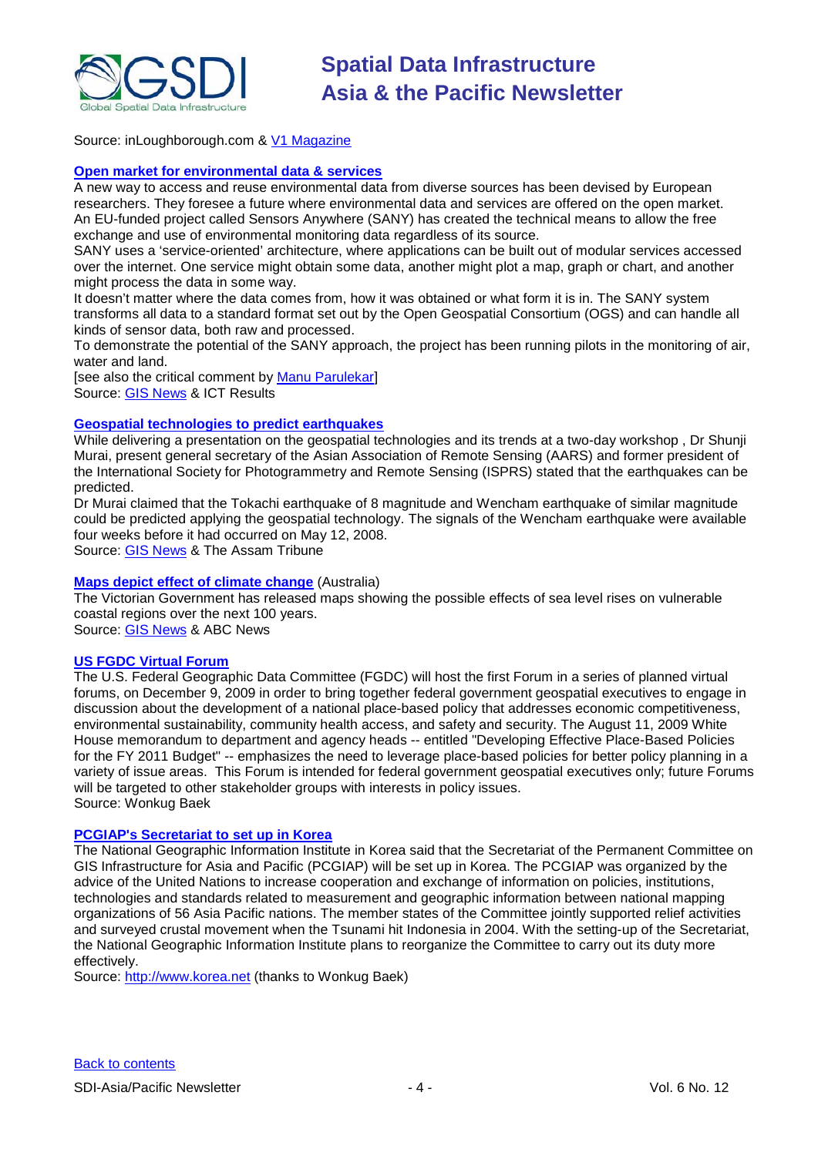

Source: inLoughborough.com & [V1 Magazine](http://vector1media.com/news/top-stories/53-corporate-news/10123-the-carbon-benefits-project)

#### **[Open market for environmental data & services](http://cordis.europa.eu/ictresults/index.cfm?section=news&tpl=article&id=91046)**

A new way to access and reuse environmental data from diverse sources has been devised by European researchers. They foresee a future where environmental data and services are offered on the open market. An EU-funded project called Sensors Anywhere (SANY) has created the technical means to allow the free exchange and use of environmental monitoring data regardless of its source.

SANY uses a 'service-oriented' architecture, where applications can be built out of modular services accessed over the internet. One service might obtain some data, another might plot a map, graph or chart, and another might process the data in some way.

It doesn't matter where the data comes from, how it was obtained or what form it is in. The SANY system transforms all data to a standard format set out by the Open Geospatial Consortium (OGS) and can handle all kinds of sensor data, both raw and processed.

To demonstrate the potential of the SANY approach, the project has been running pilots in the monitoring of air, water and land.

[see also the critical comment by [Manu Parulekar\]](http://www.gisdevelopment.net/news/viewn.asp?id=GIS:N_movjtybpld&Ezine=nov2309§ion=News) Source: [GIS News](http://www.gisdevelopment.net/news/viewn.asp?id=GIS:N_gnvaqestlw&Ezine=nov2309§ion=News) & ICT Results

#### **[Geospatial technologies to predict earthquakes](http://www.assamtribune.com/scripts/details.asp?id=nov1709/at08)**

While delivering a presentation on the geospatial technologies and its trends at a two-day workshop , Dr Shunji Murai, present general secretary of the Asian Association of Remote Sensing (AARS) and former president of the International Society for Photogrammetry and Remote Sensing (ISPRS) stated that the earthquakes can be predicted.

Dr Murai claimed that the Tokachi earthquake of 8 magnitude and Wencham earthquake of similar magnitude could be predicted applying the geospatial technology. The signals of the Wencham earthquake were available four weeks before it had occurred on May 12, 2008.

Source: [GIS News](http://www.gisdevelopment.net/news/viewn.asp?id=GIS:N_movjtybpld&Ezine=nov2309§ion=News) & The Assam Tribune

#### **[Maps depict effect of climate change](http://www.abc.net.au/news/stories/2009/11/16/2743872.htm)** (Australia)

The Victorian Government has released maps showing the possible effects of sea level rises on vulnerable coastal regions over the next 100 years. Source: [GIS News](http://www.gisdevelopment.net/news/viewn.asp?id=GIS:N_hamjpdqzev&Ezine=nov2309§ion=News) & ABC News

## **[US FGDC Virtual Forum](http://www.fgdc.gov/site-events/fgdc-virtual-forum-dec-09/view)**

The U.S. Federal Geographic Data Committee (FGDC) will host the first Forum in a series of planned virtual forums, on December 9, 2009 in order to bring together federal government geospatial executives to engage in discussion about the development of a national place-based policy that addresses economic competitiveness, environmental sustainability, community health access, and safety and security. The August 11, 2009 White House memorandum to department and agency heads -- entitled "Developing Effective Place-Based Policies for the FY 2011 Budget" -- emphasizes the need to leverage place-based policies for better policy planning in a variety of issue areas. This Forum is intended for federal government geospatial executives only; future Forums will be targeted to other stakeholder groups with interests in policy issues. Source: Wonkug Baek

#### **[PCGIAP's Secretariat to set up in Korea](http://www.korea.net/News/News/newsView.asp?serial_no=20091113009&part=101&SearchDay=2009.11.13)**

The National Geographic Information Institute in Korea said that the Secretariat of the Permanent Committee on GIS Infrastructure for Asia and Pacific (PCGIAP) will be set up in Korea. The PCGIAP was organized by the advice of the United Nations to increase cooperation and exchange of information on policies, institutions, technologies and standards related to measurement and geographic information between national mapping organizations of 56 Asia Pacific nations. The member states of the Committee jointly supported relief activities and surveyed crustal movement when the Tsunami hit Indonesia in 2004. With the setting-up of the Secretariat, the National Geographic Information Institute plans to reorganize the Committee to carry out its duty more effectively.

Source: [http://www.korea.net](http://www.korea.net/) (thanks to Wonkug Baek)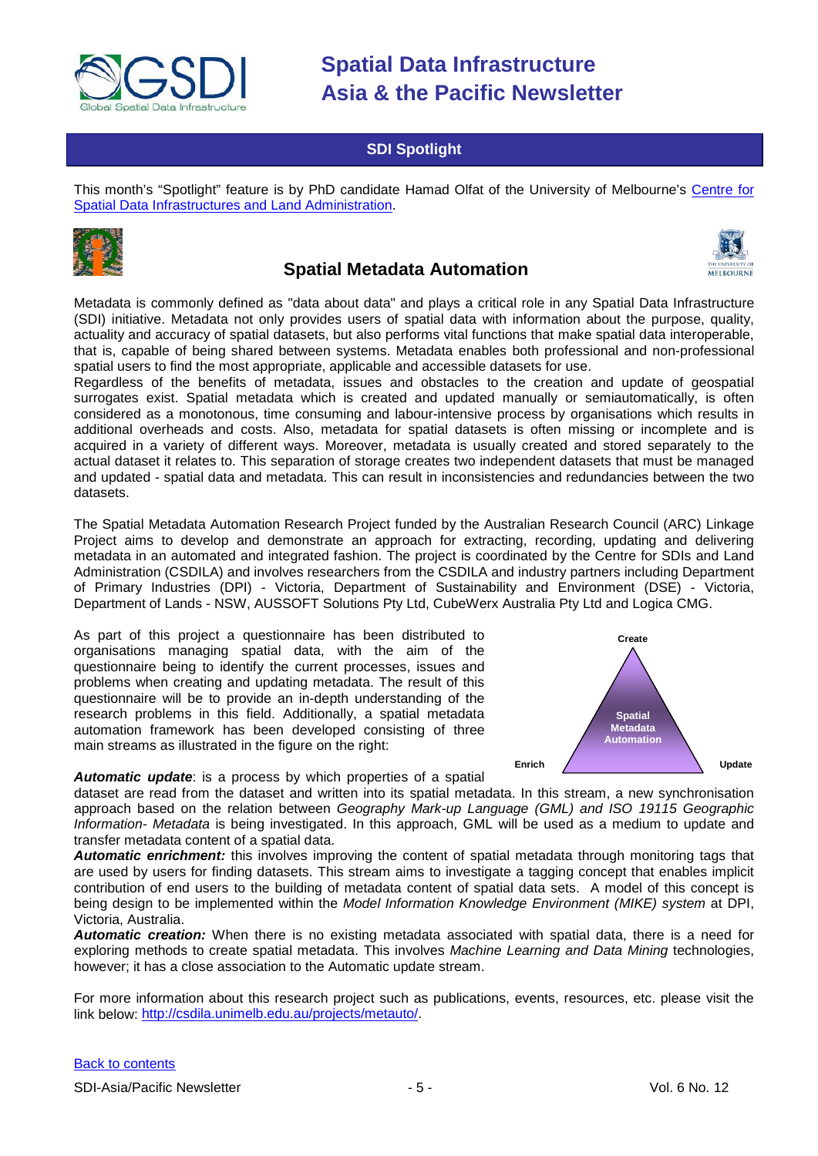

## **SDI Spotlight**

<span id="page-4-0"></span>This month's "Spotlight" feature is by PhD candidate Hamad Olfat of the University of Melbourne's [Centre for](http://www.csdila.unimelb.edu.au/)  [Spatial Data Infrastructures and Land Administration.](http://www.csdila.unimelb.edu.au/)



# **Spatial Metadata Automation**



Metadata is commonly defined as "data about data" and plays a critical role in any Spatial Data Infrastructure (SDI) initiative. Metadata not only provides users of spatial data with information about the purpose, quality, actuality and accuracy of spatial datasets, but also performs vital functions that make spatial data interoperable, that is, capable of being shared between systems. Metadata enables both professional and non-professional spatial users to find the most appropriate, applicable and accessible datasets for use.

Regardless of the benefits of metadata, issues and obstacles to the creation and update of geospatial surrogates exist. Spatial metadata which is created and updated manually or semiautomatically, is often considered as a monotonous, time consuming and labour-intensive process by organisations which results in additional overheads and costs. Also, metadata for spatial datasets is often missing or incomplete and is acquired in a variety of different ways. Moreover, metadata is usually created and stored separately to the actual dataset it relates to. This separation of storage creates two independent datasets that must be managed and updated - spatial data and metadata. This can result in inconsistencies and redundancies between the two datasets.

The Spatial Metadata Automation Research Project funded by the Australian Research Council (ARC) Linkage Project aims to develop and demonstrate an approach for extracting, recording, updating and delivering metadata in an automated and integrated fashion. The project is coordinated by the Centre for SDIs and Land Administration (CSDILA) and involves researchers from the CSDILA and industry partners including Department of Primary Industries (DPI) - Victoria, Department of Sustainability and Environment (DSE) - Victoria, Department of Lands - NSW, AUSSOFT Solutions Pty Ltd, CubeWerx Australia Pty Ltd and Logica CMG.

As part of this project a questionnaire has been distributed to organisations managing spatial data, with the aim of the questionnaire being to identify the current processes, issues and problems when creating and updating metadata. The result of this questionnaire will be to provide an in-depth understanding of the research problems in this field. Additionally, a spatial metadata automation framework has been developed consisting of three main streams as illustrated in the figure on the right:



#### *Automatic update*: is a process by which properties of a spatial

dataset are read from the dataset and written into its spatial metadata. In this stream, a new synchronisation approach based on the relation between *Geography Mark-up Language (GML) and ISO 19115 Geographic Information- Metadata* is being investigated. In this approach, GML will be used as a medium to update and transfer metadata content of a spatial data.

*Automatic enrichment:* this involves improving the content of spatial metadata through monitoring tags that are used by users for finding datasets. This stream aims to investigate a tagging concept that enables implicit contribution of end users to the building of metadata content of spatial data sets. A model of this concept is being design to be implemented within the *Model Information Knowledge Environment (MIKE) system* at DPI, Victoria, Australia.

*Automatic creation:* When there is no existing metadata associated with spatial data, there is a need for exploring methods to create spatial metadata. This involves *Machine Learning and Data Mining* technologies, however; it has a close association to the Automatic update stream.

For more information about this research project such as publications, events, resources, etc. please visit the link below: [http://csdila.unimelb.edu.au/projects/metauto/.](http://csdila.unimelb.edu.au/projects/metauto/index.html)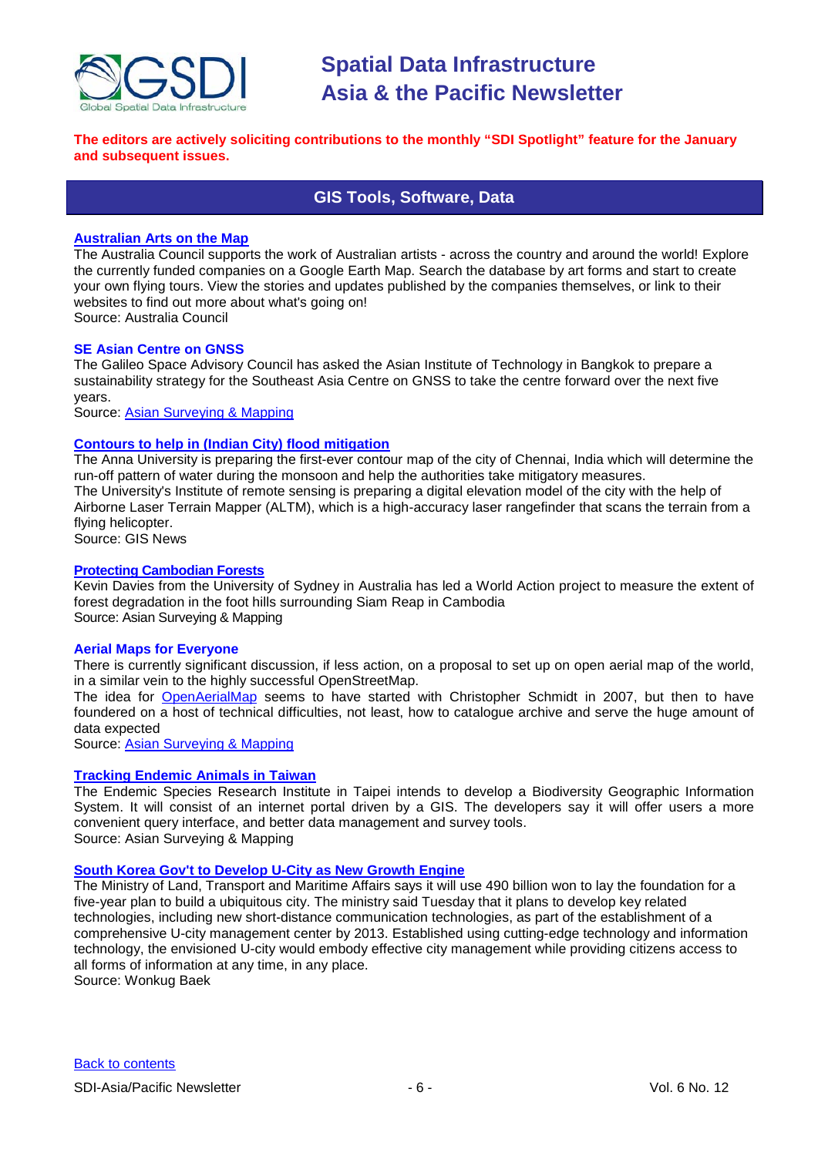

#### <span id="page-5-0"></span>**The editors are actively soliciting contributions to the monthly "SDI Spotlight" feature for the January and subsequent issues.**

## **GIS Tools, Software, Data**

#### **[Australian Arts on the Map](http://australiacouncil.placestories.com/)**

The Australia Council supports the work of Australian artists - across the country and around the world! Explore the currently funded companies on a Google Earth Map. Search the database by art forms and start to create your own flying tours. View the stories and updates published by the companies themselves, or link to their websites to find out more about what's going on! Source: Australia Council

#### **SE Asian Centre on GNSS**

The Galileo Space Advisory Council has asked the Asian Institute of Technology in Bangkok to prepare a sustainability strategy for the Southeast Asia Centre on GNSS to take the centre forward over the next five years.

Source: [Asian Surveying & Mapping](http://asmmag.com/news/se-asian-centre-on-gnss)

#### **[Contours to help in \(Indian City\) flood mitigation](http://www.gisdevelopment.net/news/viewn.asp?id=GIS:N_npxagswdir&Ezine=nov0209§ion=News)**

The Anna University is preparing the first-ever contour map of the city of Chennai, India which will determine the run-off pattern of water during the monsoon and help the authorities take mitigatory measures. The University's Institute of remote sensing is preparing a digital elevation model of the city with the help of Airborne Laser Terrain Mapper (ALTM), which is a high-accuracy laser rangefinder that scans the terrain from a flying helicopter. Source: GIS News

#### **[Protecting Cambodian Forests](http://asmmag.com/features/protecting-cambodian-forests-)**

Kevin Davies from the University of Sydney in Australia has led a World Action project to measure the extent of forest degradation in the foot hills surrounding Siam Reap in Cambodia Source: Asian Surveying & Mapping

#### **Aerial Maps for Everyone**

There is currently significant discussion, if less action, on a proposal to set up on open aerial map of the world, in a similar vein to the highly successful OpenStreetMap.

The idea for [OpenAerialMap](http://www.openaerialmap.org/Main_Page) seems to have started with Christopher Schmidt in 2007, but then to have foundered on a host of technical difficulties, not least, how to catalogue archive and serve the huge amount of data expected

Source: [Asian Surveying & Mapping](http://asmmag.com/news/aerial-maps-for-everyone)

#### **[Tracking Endemic Animals in Taiwan](http://asmmag.com/features/Supoergeo%20develops%20biodiverity%20GIS)**

The Endemic Species Research Institute in Taipei intends to develop a Biodiversity Geographic Information System. It will consist of an internet portal driven by a GIS. The developers say it will offer users a more convenient query interface, and better data management and survey tools. Source: Asian Surveying & Mapping

#### **[South Korea Gov't to Develop U-City as New Growth Engine](http://world.kbs.co.kr/english/news/news_Ec_detail.htm?No=67830)**

The Ministry of Land, Transport and Maritime Affairs says it will use 490 billion won to lay the foundation for a five-year plan to build a ubiquitous city. The ministry said Tuesday that it plans to develop key related technologies, including new short-distance communication technologies, as part of the establishment of a comprehensive U-city management center by 2013. Established using cutting-edge technology and information technology, the envisioned U-city would embody effective city management while providing citizens access to all forms of information at any time, in any place. Source: Wonkug Baek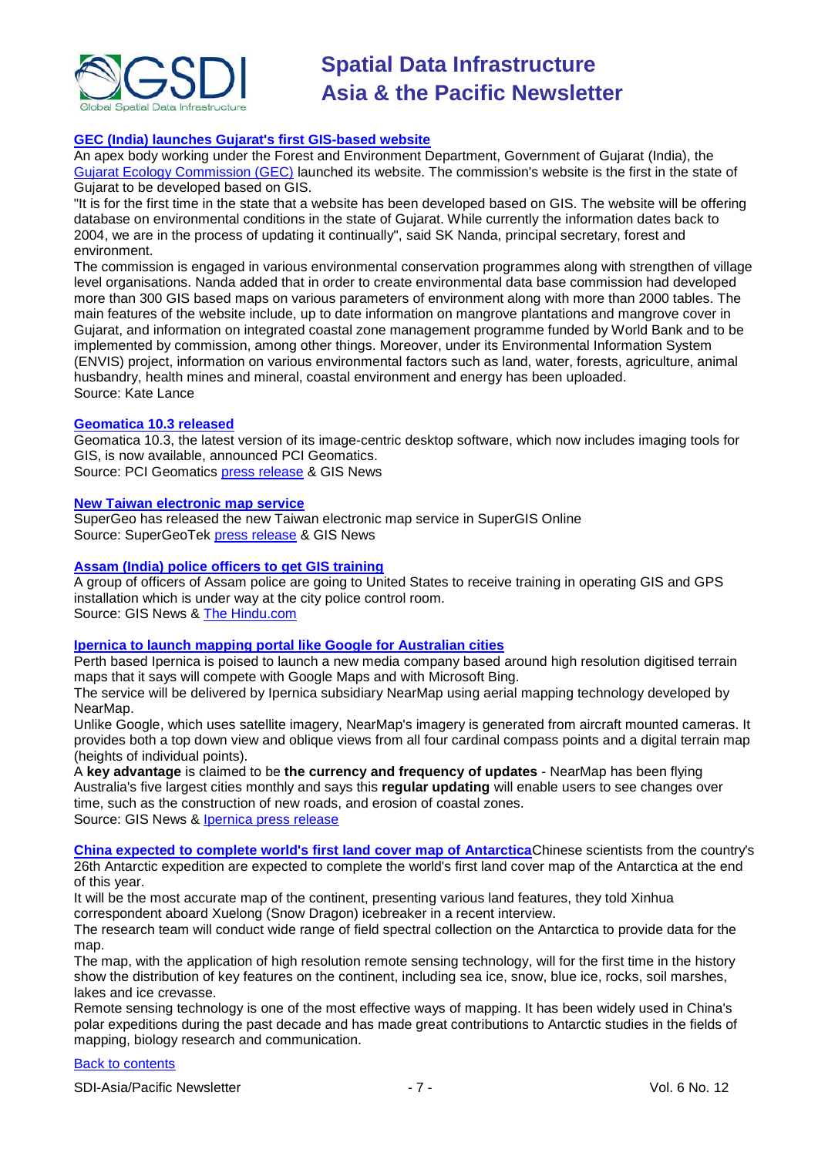

#### **[GEC \(India\) launches Gujarat's first GIS-based website](http://www.business-standard.com/india/news/gec-launches-gujarat%5Cs-first-gis-based-website/374578/)**

An apex body working under the Forest and Environment Department, Government of Gujarat (India), the [Gujarat Ecology Commission \(GEC\)](http://www.gec.gov.in/) launched its website. The commission's website is the first in the state of Gujarat to be developed based on GIS.

"It is for the first time in the state that a website has been developed based on GIS. The website will be offering database on environmental conditions in the state of Gujarat. While currently the information dates back to 2004, we are in the process of updating it continually", said SK Nanda, principal secretary, forest and environment.

The commission is engaged in various environmental conservation programmes along with strengthen of village level organisations. Nanda added that in order to create environmental data base commission had developed more than 300 GIS based maps on various parameters of environment along with more than 2000 tables. The main features of the website include, up to date information on mangrove plantations and mangrove cover in Gujarat, and information on integrated coastal zone management programme funded by World Bank and to be implemented by commission, among other things. Moreover, under its Environmental Information System (ENVIS) project, information on various environmental factors such as land, water, forests, agriculture, animal husbandry, health mines and mineral, coastal environment and energy has been uploaded. Source: Kate Lance

#### **[Geomatica 10.3 released](http://www.gisdevelopment.net/news/viewn.asp?id=GIS:N_dnxlmfuiog&Ezine=nov0909§ion=News)**

Geomatica 10.3, the latest version of its image-centric desktop software, which now includes imaging tools for GIS, is now available, announced PCI Geomatics.

Source: PCI Geomatics [press release](http://www.pcigeomatics.com/pressnews/2009_PCI_geomatica103.html) & GIS News

#### **[New Taiwan electronic map service](http://www.gisdevelopment.net/news/viewn.asp?id=GIS:N_lckgbpiens&Ezine=nov0909§ion=News)**

SuperGeo has released the new Taiwan electronic map service in SuperGIS Online Source: SuperGeoTek [press release](http://www.supergeotek.com/news.aspx?Type=Company&ID=558) & GIS News

#### **[Assam \(India\) police officers to get GIS training](http://www.gisdevelopment.net/news/viewn.asp?id=GIS:N_wxogczsaki&Ezine=nov0909§ion=News)**

A group of officers of Assam police are going to United States to receive training in operating GIS and GPS installation which is under way at the city police control room. Source: GIS News & [The Hindu.com](http://beta.thehindu.com/news/national/article41535.ece)

#### **[Ipernica to launch mapping portal like Google for Australian cities](http://www.gisdevelopment.net/news/viewn.asp?id=GIS:N_tfblcgayuz&Ezine=nov0909§ion=News)**

Perth based Ipernica is poised to launch a new media company based around high resolution digitised terrain maps that it says will compete with Google Maps and with Microsoft Bing.

The service will be delivered by Ipernica subsidiary NearMap using aerial mapping technology developed by NearMap.

Unlike Google, which uses satellite imagery, NearMap's imagery is generated from aircraft mounted cameras. It provides both a top down view and oblique views from all four cardinal compass points and a digital terrain map (heights of individual points).

A **key advantage** is claimed to be **the currency and frequency of updates** - NearMap has been flying Australia's five largest cities monthly and says this **regular updating** will enable users to see changes over time, such as the construction of new roads, and erosion of coastal zones. Source: GIS News & [Ipernica press release](http://www.ipernica.com/IRM/Company/ShowPage.aspx?CPID=1152&EID=13335037&PageName=Aussie%20mapping%20technology%20set%20to%20take%20on%20Google)

**[China expected to complete world's first land cover map of Antarctica](http://news.xinhuanet.com/english/2009-10/26/content_12332541.htm)**Chinese scientists from the country's 26th Antarctic expedition are expected to complete the world's first land cover map of the Antarctica at the end of this year.

It will be the most accurate map of the continent, presenting various land features, they told Xinhua correspondent aboard Xuelong (Snow Dragon) icebreaker in a recent interview.

The research team will conduct wide range of field spectral collection on the Antarctica to provide data for the map.

The map, with the application of high resolution remote sensing technology, will for the first time in the history show the distribution of key features on the continent, including sea ice, snow, blue ice, rocks, soil marshes, lakes and ice crevasse.

Remote sensing technology is one of the most effective ways of mapping. It has been widely used in China's polar expeditions during the past decade and has made great contributions to Antarctic studies in the fields of mapping, biology research and communication.

#### [Back to contents](#page-0-0)

SDI-Asia/Pacific Newsletter  $\overline{7}$  - 7 -  $\overline{7}$  -  $\overline{7}$  -  $\overline{9}$  Vol. 6 No. 12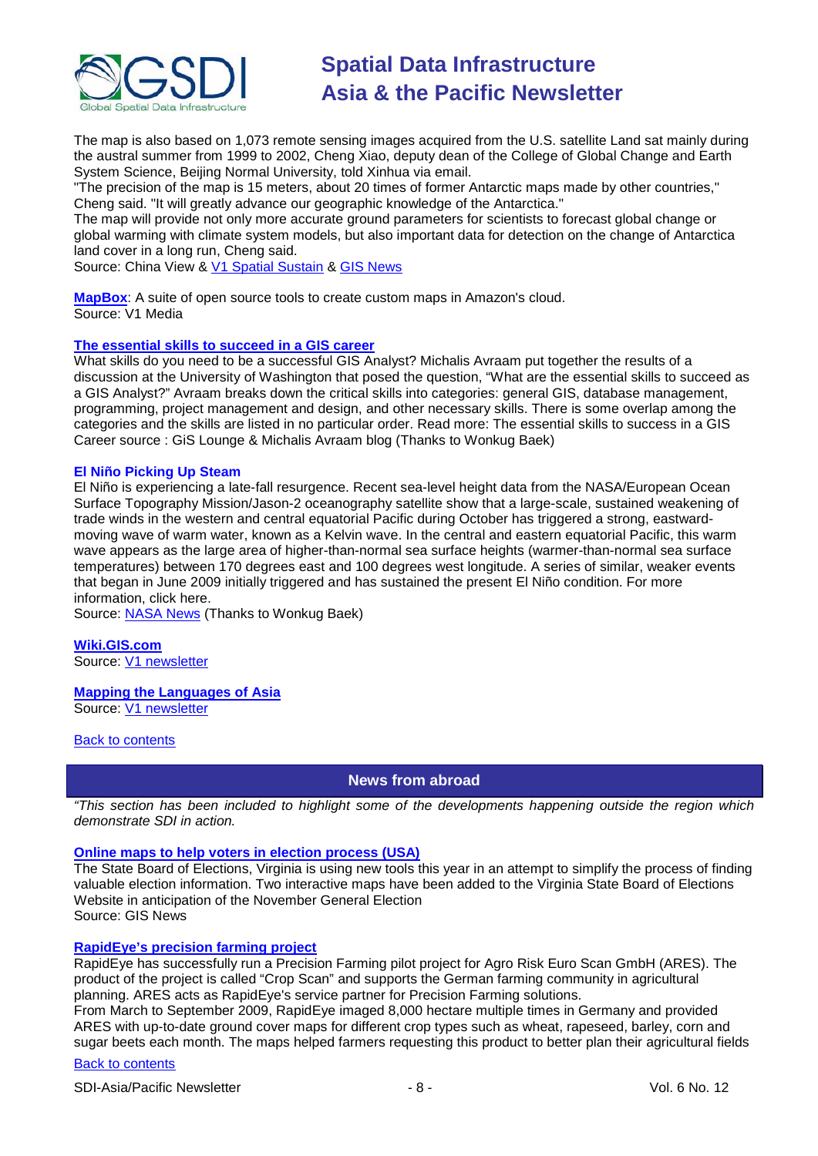

The map is also based on 1,073 remote sensing images acquired from the U.S. satellite Land sat mainly during the austral summer from 1999 to 2002, Cheng Xiao, deputy dean of the College of Global Change and Earth System Science, Beijing Normal University, told Xinhua via email.

"The precision of the map is 15 meters, about 20 times of former Antarctic maps made by other countries," Cheng said. "It will greatly advance our geographic knowledge of the Antarctica."

The map will provide not only more accurate ground parameters for scientists to forecast global change or global warming with climate system models, but also important data for detection on the change of Antarctica land cover in a long run, Cheng said.

Source: China View & [V1 Spatial Sustain](http://vector1media.com/spatialsustain/china-maps-antarctica-at-unprecendented-resolution.html) & [GIS News](http://www.gisdevelopment.net/news/viewn.asp?id=GIS:N_ylcwfpdrhk&Ezine=nov0209§ion=News)

**[MapBox](http://mapbox.com/)**: A suite of open source tools to create custom maps in Amazon's cloud. Source: V1 Media

#### **[The essential skills to succeed in a GIS career](http://michalisavraam.org/2009/11/the-essential-skills-to-succeed-in-a-gis-career/)**

What skills do you need to be a successful GIS Analyst? Michalis Avraam put together the results of a discussion at the University of Washington that posed the question, "What are the essential skills to succeed as a GIS Analyst?" Avraam breaks down the critical skills into categories: general GIS, database management, programming, project management and design, and other necessary skills. There is some overlap among the categories and the skills are listed in no particular order. Read more: The essential skills to success in a GIS Career source : GiS Lounge & Michalis Avraam blog (Thanks to Wonkug Baek)

#### **El Niño Picking Up Steam**

El Niño is experiencing a late-fall resurgence. Recent sea-level height data from the NASA/European Ocean Surface Topography Mission/Jason-2 oceanography satellite show that a large-scale, sustained weakening of trade winds in the western and central equatorial Pacific during October has triggered a strong, eastwardmoving wave of warm water, known as a Kelvin wave. In the central and eastern equatorial Pacific, this warm wave appears as the large area of higher-than-normal sea surface heights (warmer-than-normal sea surface temperatures) between 170 degrees east and 100 degrees west longitude. A series of similar, weaker events that began in June 2009 initially triggered and has sustained the present El Niño condition. For more information, click here.

Source: [NASA News](http://www.nasa.gov/topics/earth/features/elnino20091112.html) (Thanks to Wonkug Baek)

**[Wiki.GIS.com](http://wiki.gis.com/wiki/index.php/Main_Page)** Source: [V1 newsletter](http://www.vector1media.com/resources/newsletter/9917-v1-newsletter-vol-3-issue-44)

#### **[Mapping the Languages of Asia](http://www.ecai.org/austronesiaweb/ECAIaustronesia/AustronesiaMaps.htm)**

Source: [V1 newsletter](http://www.vector1media.com/resources/newsletter/9917-v1-newsletter-vol-3-issue-44)

#### <span id="page-7-0"></span>**[Back to contents](#page-0-0)**

#### **News from abroad**

*"This section has been included to highlight some of the developments happening outside the region which demonstrate SDI in action.*

#### **[Online maps to help voters in election process \(USA\)](http://www.gisdevelopment.net/news/viewn.asp?id=GIS:N_mlzptfixho)**

The State Board of Elections, Virginia is using new tools this year in an attempt to simplify the process of finding valuable election information. Two interactive maps have been added to the Virginia State Board of Elections Website in anticipation of the November General Election Source: GIS News

#### **[RapidEye's precision](http://www.gisdevelopment.net/news/viewn.asp?id=GIS:N_nhpjudolyz&Ezine=nov0209§ion=News) farming project**

RapidEye has successfully run a Precision Farming pilot project for Agro Risk Euro Scan GmbH (ARES). The product of the project is called "Crop Scan" and supports the German farming community in agricultural planning. ARES acts as RapidEye's service partner for Precision Farming solutions.

From March to September 2009, RapidEye imaged 8,000 hectare multiple times in Germany and provided ARES with up-to-date ground cover maps for different crop types such as wheat, rapeseed, barley, corn and sugar beets each month. The maps helped farmers requesting this product to better plan their agricultural fields

#### [Back to contents](#page-0-0)

SDI-Asia/Pacific Newsletter  $\overline{\hspace{1cm}}$  - 8 -  $\overline{\hspace{1cm}}$  - 8 -  $\overline{\hspace{1cm}}$  Vol. 6 No. 12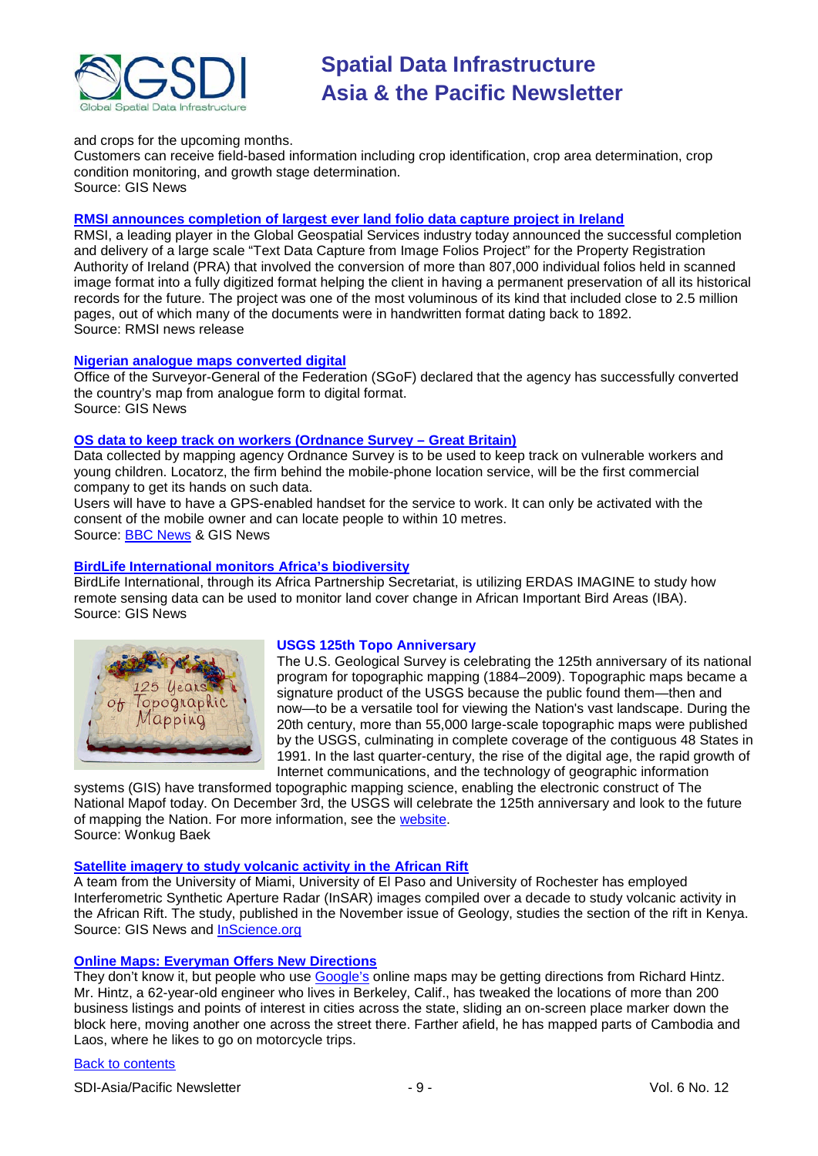

#### and crops for the upcoming months.

Customers can receive field-based information including crop identification, crop area determination, crop condition monitoring, and growth stage determination. Source: GIS News

#### **[RMSI announces completion of largest ever](http://www.rmsi.com/press/ireland_prai.asp) land folio data capture project in Ireland**

RMSI, a leading player in the Global Geospatial Services industry today announced the successful completion and delivery of a large scale "Text Data Capture from Image Folios Project" for the Property Registration Authority of Ireland (PRA) that involved the conversion of more than 807,000 individual folios held in scanned image format into a fully digitized format helping the client in having a permanent preservation of all its historical records for the future. The project was one of the most voluminous of its kind that included close to 2.5 million pages, out of which many of the documents were in handwritten format dating back to 1892. Source: RMSI news release

#### **[Nigerian analogue maps converted digital](http://www.gisdevelopment.net/news/viewn.asp?id=GIS:N_zjfhrpkody&Ezine=nov0209§ion=News)**

Office of the Surveyor-General of the Federation (SGoF) declared that the agency has successfully converted the country's map from analogue form to digital format. Source: GIS News

#### **[OS data to keep track on workers \(Ordnance Survey –](http://www.gisdevelopment.net/news/viewn.asp?id=GIS:N_jqcibglpre&Ezine=nov0909§ion=News) Great Britain)**

Data collected by mapping agency Ordnance Survey is to be used to keep track on vulnerable workers and young children. Locatorz, the firm behind the mobile-phone location service, will be the first commercial company to get its hands on such data.

Users will have to have a GPS-enabled handset for the service to work. It can only be activated with the consent of the mobile owner and can locate people to within 10 metres. Source: [BBC News](http://news.bbc.co.uk/2/hi/technology/8338946.stm) & GIS News

#### **[BirdLife International monitors Africa's biodiversity](http://www.gisdevelopment.net/news/viewn.asp?id=GIS:N_gtheocprab&Ezine=nov0909§ion=News)**

BirdLife International, through its Africa Partnership Secretariat, is utilizing ERDAS IMAGINE to study how remote sensing data can be used to monitor land cover change in African Important Bird Areas (IBA). Source: GIS News



#### **USGS 125th Topo Anniversary**

The U.S. Geological Survey is celebrating the 125th anniversary of its national program for topographic mapping (1884–2009). Topographic maps became a signature product of the USGS because the public found them—then and now—to be a versatile tool for viewing the Nation's vast landscape. During the 20th century, more than 55,000 large-scale topographic maps were published by the USGS, culminating in complete coverage of the contiguous 48 States in 1991. In the last quarter-century, the rise of the digital age, the rapid growth of Internet communications, and the technology of geographic information

systems (GIS) have transformed topographic mapping science, enabling the electronic construct of The National Mapof today. On December 3rd, the USGS will celebrate the 125th anniversary and look to the future of mapping the Nation. For more information, see the [website.](http://nationalmap.gov/125years/) Source: Wonkug Baek

#### **[Satellite imagery to study volcanic activity in the African Rift](http://www.gisdevelopment.net/news/viewn.asp?id=GIS:N_vyzeaiosdt&Ezine=nov1609§ion=News)**

A team from the University of Miami, University of El Paso and University of Rochester has employed Interferometric Synthetic Aperture Radar (InSAR) images compiled over a decade to study volcanic activity in the African Rift. The study, published in the November issue of Geology, studies the section of the rift in Kenya. Source: GIS News and [InScience.org](http://insciences.org/article.php?article_id=7457)

#### **[Online Maps: Everyman Offers New Directions](http://www.nytimes.com/2009/11/17/technology/internet/17maps.html?_r=1)**

They don't know it, but people who use [Google's](http://topics.nytimes.com/top/news/business/companies/google_inc/index.html?inline=nyt-org) online maps may be getting directions from Richard Hintz. Mr. Hintz, a 62-year-old engineer who lives in Berkeley, Calif., has tweaked the locations of more than 200 business listings and points of interest in cities across the state, sliding an on-screen place marker down the block here, moving another one across the street there. Farther afield, he has mapped parts of Cambodia and Laos, where he likes to go on motorcycle trips.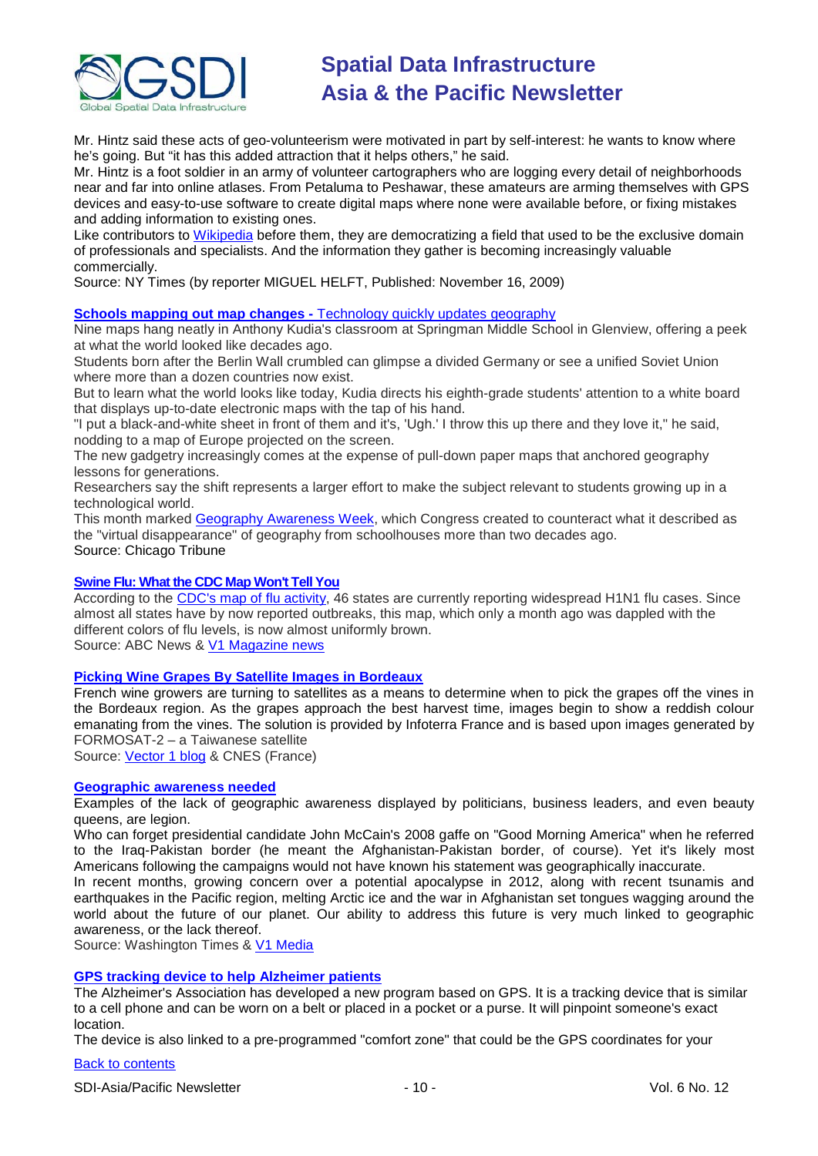

Mr. Hintz said these acts of geo-volunteerism were motivated in part by self-interest: he wants to know where he's going. But "it has this added attraction that it helps others," he said.

Mr. Hintz is a foot soldier in an army of volunteer cartographers who are logging every detail of neighborhoods near and far into online atlases. From Petaluma to Peshawar, these amateurs are arming themselves with GPS devices and easy-to-use software to create digital maps where none were available before, or fixing mistakes and adding information to existing ones.

Like contributors to [Wikipedia](http://www.nytimes.com/info/wikipedia/?inline=nyt-org) before them, they are democratizing a field that used to be the exclusive domain of professionals and specialists. And the information they gather is becoming increasingly valuable commercially.

Source: NY Times (by reporter [MIGUEL HELFT,](http://topics.nytimes.com/top/reference/timestopics/people/h/miguel_helft/index.html?inline=nyt-per) Published: November 16, 2009)

#### **Schools mapping out map changes -** [Technology quickly updates geography](http://www.chicagotribune.com/news/education/chi-no-school-maps-22-bdnov22,0,7112607.story)

Nine maps hang neatly in Anthony Kudia's classroom at Springman Middle School in Glenview, offering a peek at what the world looked like decades ago.

Students born after the Berlin Wall crumbled can glimpse a divided Germany or see a unified Soviet Union where more than a dozen countries now exist.

But to learn what the world looks like today, Kudia directs his eighth-grade students' attention to a white board that displays up-to-date electronic maps with the tap of his hand.

"I put a black-and-white sheet in front of them and it's, 'Ugh.' I throw this up there and they love it," he said, nodding to a map of Europe projected on the screen.

The new gadgetry increasingly comes at the expense of pull-down paper maps that anchored geography lessons for generations.

Researchers say the shift represents a larger effort to make the subject relevant to students growing up in a technological world.

This month marked [Geography Awareness](http://www.mywonderfulworld.org/gaw.html) Week, which Congress created to counteract what it described as the "virtual disappearance" of geography from schoolhouses more than two decades ago. Source: Chicago Tribune

#### **[Swine Flu: What the CDC Map Won't Tell You](http://abcnews.go.com/Health/SwineFlu/swine-flu-cdc-map/story?id=8949730)**

According to the [CDC's map of flu activity,](http://www.cdc.gov/h1n1flu/updates/us/) 46 states are currently reporting widespread [H1N1 flu](http://abcnews.go.com/Health/swineflu/) cases. Since almost all states have by now reported outbreaks, this map, which only a month ago was dappled with the different colors of flu levels, is now almost uniformly brown.

Source: ABC News & [V1 Magazine news](http://www.vector1media.com/news/headlines/9782-swine-flu-what-the-cdc-map-wont-tell-you)

## **[Picking Wine Grapes By Satellite Images in Bordeaux](http://www.cnes.fr/web/CNES-en/8030-gp-winemakers-turn-to-satellites.php)**

French wine growers are turning to satellites as a means to determine when to pick the grapes off the vines in the Bordeaux region. As the grapes approach the best harvest time, images begin to show a reddish colour emanating from the vines. The solution is provided by Infoterra France and is based upon images generated by FORMOSAT-2 – a Taiwanese satellite

Source: [Vector 1 blog](http://www.vector1media.com/vectorone/?p=4042) & CNES (France)

#### **[Geographic awareness needed](http://washingtontimes.com/news/2009/oct/28/geographic-awareness-needed/)**

Examples of the lack of geographic awareness displayed by politicians, business leaders, and even beauty queens, are legion.

Who can forget presidential candidate John McCain's 2008 gaffe on "Good Morning America" when he referred to the Iraq-Pakistan border (he meant the Afghanistan-Pakistan border, of course). Yet it's likely most Americans following the campaigns would not have known his statement was geographically inaccurate.

In recent months, growing concern over a potential apocalypse in 2012, along with recent tsunamis and earthquakes in the Pacific region, melting Arctic ice and the war in Afghanistan set tongues wagging around the world about the future of our planet. Our ability to address this future is very much linked to geographic awareness, or the lack thereof.

Source: Washington Times & [V1 Media](http://www.vector1media.com/resources/newsletter/9917-v1-newsletter-vol-3-issue-44)

#### **[GPS tracking device to help Alzheimer patients](http://www.alz.org/comfortzone/)**

The Alzheimer's Association has developed a new program based on GPS. It is a tracking device that is similar to a cell phone and can be worn on a belt or placed in a pocket or a purse. It will pinpoint someone's exact location.

The device is also linked to a pre-programmed "comfort zone" that could be the GPS coordinates for your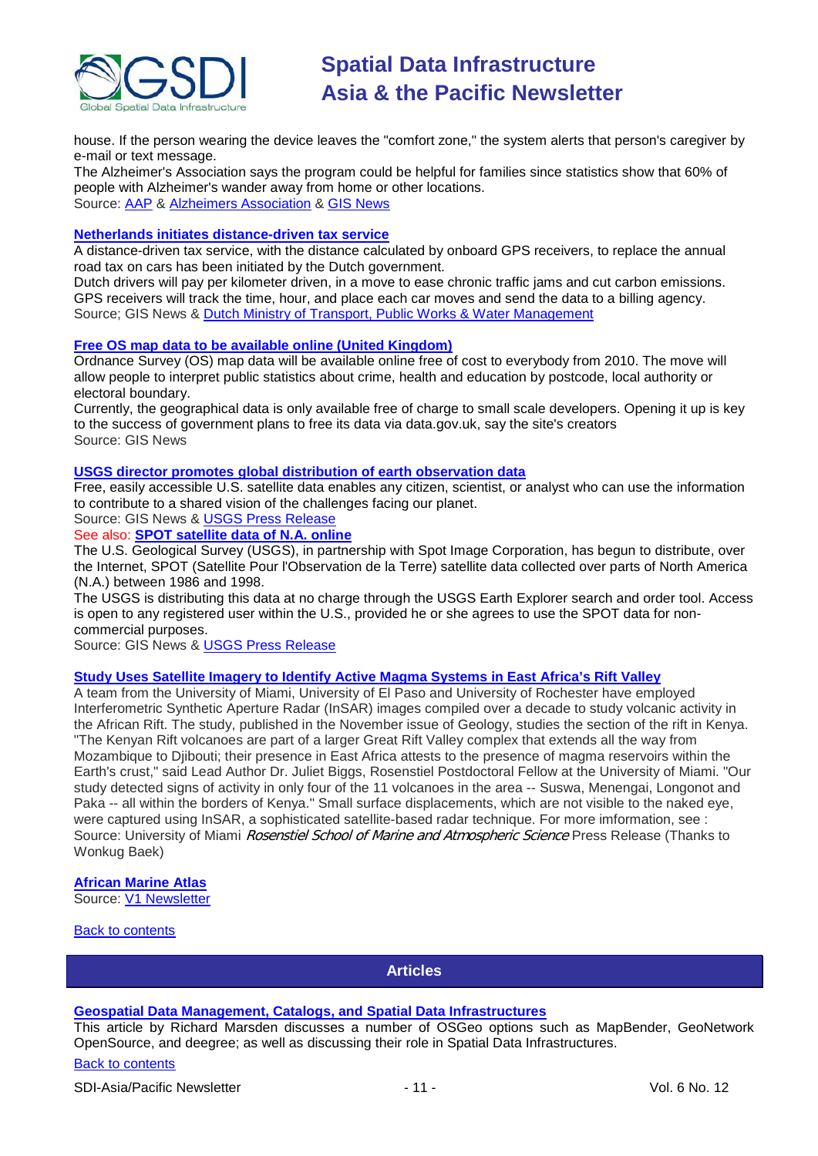

house. If the person wearing the device leaves the "comfort zone," the system alerts that person's caregiver by e-mail or text message.

The Alzheimer's Association says the program could be helpful for families since statistics show that 60% of people with Alzheimer's wander away from home or other locations. Source: [AAP](http://www.google.com/hostednews/ap/article/ALeqM5gq4jYIrzx0LeiL-BTiwtN48r1qHAD9C15J5O0) & [Alzheimers Association](http://www.alz.org/) & [GIS News](http://www.gisdevelopment.net/news/viewn.asp?id=GIS:N_razkvpmthd&Ezine=nov2309§ion=News)

#### **[Netherlands initiates distance-driven tax service](http://www.gisdevelopment.net/news/viewn.asp?id=GIS:N_zagvcdpbfk&Ezine=nov2309§ion=News)**

A distance-driven tax service, with the distance calculated by onboard GPS receivers, to replace the annual road tax on cars has been initiated by the Dutch government.

Dutch drivers will pay per kilometer driven, in a move to ease chronic traffic jams and cut carbon emissions. GPS receivers will track the time, hour, and place each car moves and send the data to a billing agency. Source; GIS News & [Dutch Ministry of Transport, Public Works & Water Management](http://www.verkeerenwaterstaat.nl/english/news/newsitems/kilometrechargemostpeoplewillenduppayingless.aspx)

#### **[Free OS map data to be available online \(United Kingdom\)](http://www.gisdevelopment.net/news/viewn.asp?id=GIS:N_fqbrylukje&Ezine=nov2309§ion=News)**

Ordnance Survey (OS) map data will be available online free of cost to everybody from 2010. The move will allow people to interpret public statistics about crime, health and education by postcode, local authority or electoral boundary.

Currently, the geographical data is only available free of charge to small scale developers. Opening it up is key to the success of government plans to free its data via data.gov.uk, say the site's creators Source: GIS News

#### **USGS director promotes [global distribution of earth observation data](http://www.gisdevelopment.net/news/viewn.asp?id=GIS:N_ctipmyudfl&Ezine=nov2309§ion=News)**

Free, easily accessible U.S. satellite data enables any citizen, scientist, or analyst who can use the information to contribute to a shared vision of the challenges facing our planet.

Source: GIS News & [USGS Press Release](http://www.usgs.gov/newsroom/article.asp?ID=2347)

## See also: **[SPOT satellite data of N.A. online](http://www.gisdevelopment.net/news/viewn.asp?id=GIS:N_grzbsxjayw&Ezine=nov2309§ion=News)**

The U.S. Geological Survey (USGS), in partnership with Spot Image Corporation, has begun to distribute, over the Internet, SPOT (Satellite Pour l'Observation de la Terre) satellite data collected over parts of North America (N.A.) between 1986 and 1998.

The USGS is distributing this data at no charge through the USGS Earth Explorer search and order tool. Access is open to any registered user within the U.S., provided he or she agrees to use the SPOT data for noncommercial purposes.

Source: GIS News & [USGS Press Release](http://www.usgs.gov/newsroom/article.asp?ID=2346)

## **[Study Uses Satellite Imagery to Identify Active Magma Systems in East Africa's Rift Valley](http://www.rsmas.miami.edu/pressreleases/20091104-biggs.html)**

A team from the University of Miami, University of El Paso and University of Rochester have employed Interferometric Synthetic Aperture Radar (InSAR) images compiled over a decade to study volcanic activity in the African Rift. The study, published in the November issue of Geology, studies the section of the rift in Kenya. "The Kenyan Rift volcanoes are part of a larger Great Rift Valley complex that extends all the way from Mozambique to Djibouti; their presence in East Africa attests to the presence of magma reservoirs within the Earth's crust," said Lead Author Dr. Juliet Biggs, Rosenstiel Postdoctoral Fellow at the University of Miami. "Our study detected signs of activity in only four of the 11 volcanoes in the area -- Suswa, Menengai, Longonot and Paka -- all within the borders of Kenya." Small surface displacements, which are not visible to the naked eye, were captured using InSAR, a sophisticated satellite-based radar technique. For more imformation, see : Source: University of Miami Rosenstiel School of Marine and Atmospheric Science Press Release (Thanks to Wonkug Baek)

#### **[African Marine Atlas](http://iodeweb2.vliz.be/omap/OMAP/index.htm)**

Source: [V1 Newsletter](http://www.vector1media.com/resources/newsletter/9917-v1-newsletter-vol-3-issue-44)

#### <span id="page-10-0"></span>[Back to contents](#page-0-0)

**Articles**

#### **[Geospatial Data Management, Catalogs, and Spatial Data Infrastructures](http://www.geowebguru.com/articles/227-geospatial-data-management-catalogs-and-spatial-data-infrastructures)**

This article by Richard Marsden discusses a number of OSGeo options such as MapBender, GeoNetwork OpenSource, and deegree; as well as discussing their role in Spatial Data Infrastructures.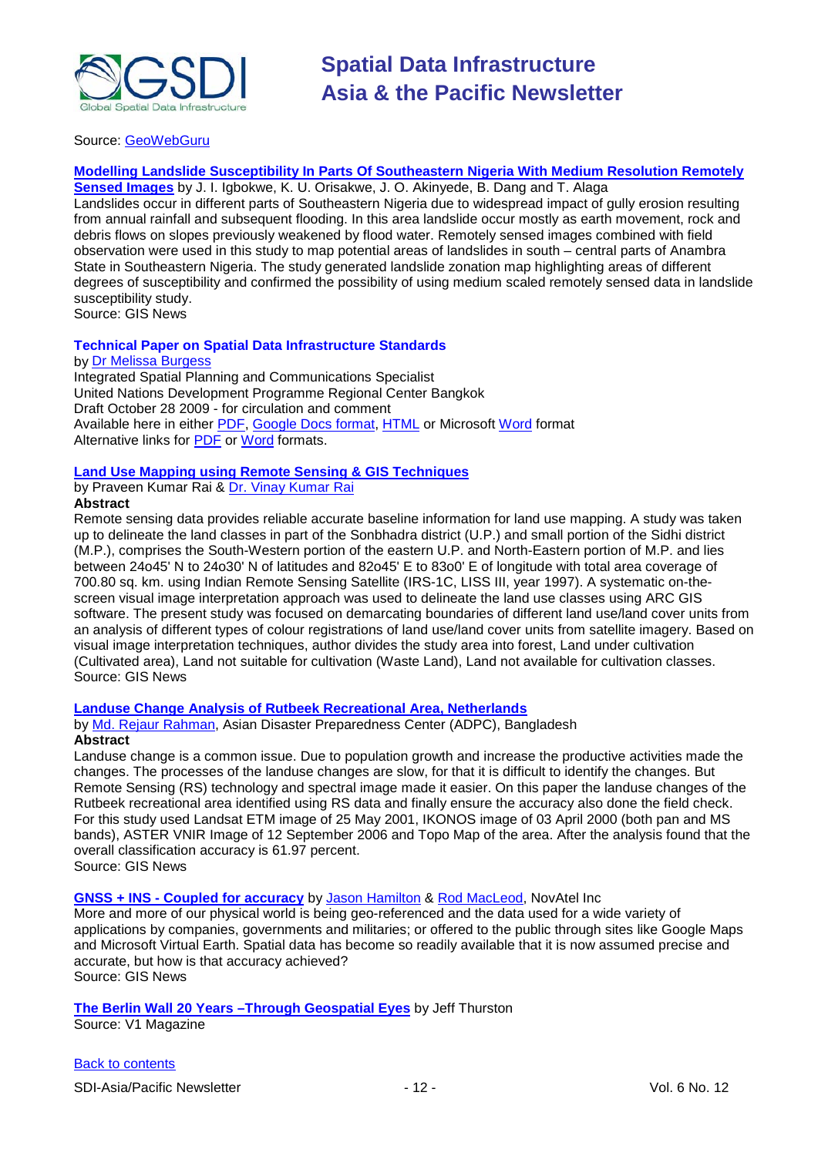

#### Source: [GeoWebGuru](http://www.geowebguru.com/home)

#### **[Modelling Landslide Susceptibility In Parts Of Southeastern Nigeria With Medium Resolution Remotely](http://www.gisdevelopment.net/application/natural_hazards/landslides/Modelling_landslide.htm)**

**[Sensed Images](http://www.gisdevelopment.net/application/natural_hazards/landslides/Modelling_landslide.htm)** by J. I. Igbokwe, K. U. Orisakwe, J. O. Akinyede, B. Dang and T. Alaga Landslides occur in different parts of Southeastern Nigeria due to widespread impact of gully erosion resulting from annual rainfall and subsequent flooding. In this area landslide occur mostly as earth movement, rock and debris flows on slopes previously weakened by flood water. Remotely sensed images combined with field observation were used in this study to map potential areas of landslides in south – central parts of Anambra State in Southeastern Nigeria. The study generated landslide zonation map highlighting areas of different degrees of susceptibility and confirmed the possibility of using medium scaled remotely sensed data in landslide susceptibility study.

Source: GIS News

#### **Technical Paper on Spatial Data Infrastructure Standards**

#### by [Dr Melissa Burgess](mailto:Melissa.Burgess@undp.org)

Integrated Spatial Planning and Communications Specialist United Nations Development Programme Regional Center Bangkok Draft October 28 2009 - for circulation and comment Available here in either [PDF,](http://docs.google.com/gview?a=v&pid=gmail&attid=0.2&thid=124b531af4f866c2&mt=application%2Fpdf&url=http%3A%2F%2Fmail.google.com%2Fmail%2F%3Fui%3D2%26ik%3Dbf32a9097f%26view%3Datt%26th%3D124b531af4f866c2%26attid%3D0.2%26disp%3Dattd%26zw&sig=AHBy-hbCnUdylpN8) [Google Docs format,](http://docs.google.com/Doc?id=dfr87trr_10dpz3g8dg&btr=EmailImport) [HTML](http://mail.google.com/mail/?ui=2&ik=bf32a9097f&view=att&th=124b531af4f866c2&attid=0.1&disp=vah&zw) or Microsoft [Word](http://mail.google.com/mail/?view=att&th=124b531af4f866c2&attid=0.1&disp=attd&zw) format Alternative links for **PDF** or [Word](http://lists.gsdi.org/pipermail/sdi-asiapacific/attachments/20091030/adf30f61/attachment.doc) formats.

#### **[Land Use Mapping using Remote Sensing & GIS Techniques](http://www.gisdevelopment.net/technology/rs/tech_lulc.htm)**

# by Praveen Kumar Rai & [Dr. Vinay Kumar Rai](mailto:rai.vns82@gmail.com)

**Abstract**

Remote sensing data provides reliable accurate baseline information for land use mapping. A study was taken up to delineate the land classes in part of the Sonbhadra district (U.P.) and small portion of the Sidhi district (M.P.), comprises the South-Western portion of the eastern U.P. and North-Eastern portion of M.P. and lies between 24o45' N to 24o30' N of latitudes and 82o45' E to 83o0' E of longitude with total area coverage of 700.80 sq. km. using Indian Remote Sensing Satellite (IRS-1C, LISS III, year 1997). A systematic on-thescreen visual image interpretation approach was used to delineate the land use classes using ARC GIS software. The present study was focused on demarcating boundaries of different land use/land cover units from an analysis of different types of colour registrations of land use/land cover units from satellite imagery. Based on visual image interpretation techniques, author divides the study area into forest, Land under cultivation (Cultivated area), Land not suitable for cultivation (Waste Land), Land not available for cultivation classes. Source: GIS News

#### **[Landuse Change Analysis of Rutbeek Recreational Area, Netherlands](http://www.gisdevelopment.net/application/lis/rural/landuse_Netherlands.htm)**

by [Md. Rejaur Rahman,](mailto:reja.83@gmail.com) Asian Disaster Preparedness Center (ADPC), Bangladesh **Abstract**

Landuse change is a common issue. Due to population growth and increase the productive activities made the changes. The processes of the landuse changes are slow, for that it is difficult to identify the changes. But Remote Sensing (RS) technology and spectral image made it easier. On this paper the landuse changes of the Rutbeek recreational area identified using RS data and finally ensure the accuracy also done the field check. For this study used Landsat ETM image of 25 May 2001, IKONOS image of 03 April 2000 (both pan and MS bands), ASTER VNIR Image of 12 September 2006 and Topo Map of the area. After the analysis found that the overall classification accuracy is 61.97 percent. Source: GIS News

**GNSS + INS - [Coupled for accuracy](http://www.gisdevelopment.net/magazine/global/2009/November/26.htm)** by [Jason Hamilton](mailto:Jason.Hamilton@novatel.com) & [Rod MacLeod,](mailto:Rod.MacLeod@novatel.com) NovAtel Inc

More and more of our physical world is being geo-referenced and the data used for a wide variety of applications by companies, governments and militaries; or offered to the public through sites like Google Maps and Microsoft Virtual Earth. Spatial data has become so readily available that it is now assumed precise and accurate, but how is that accuracy achieved? Source: GIS News

#### **[The Berlin Wall 20 Years –Through Geospatial Eyes](http://vector1media.com/dialogue/perspectives/9897-the-berlin-wall-20-years-through-geospatial-eyes)** by Jeff Thurston

Source: V1 Magazine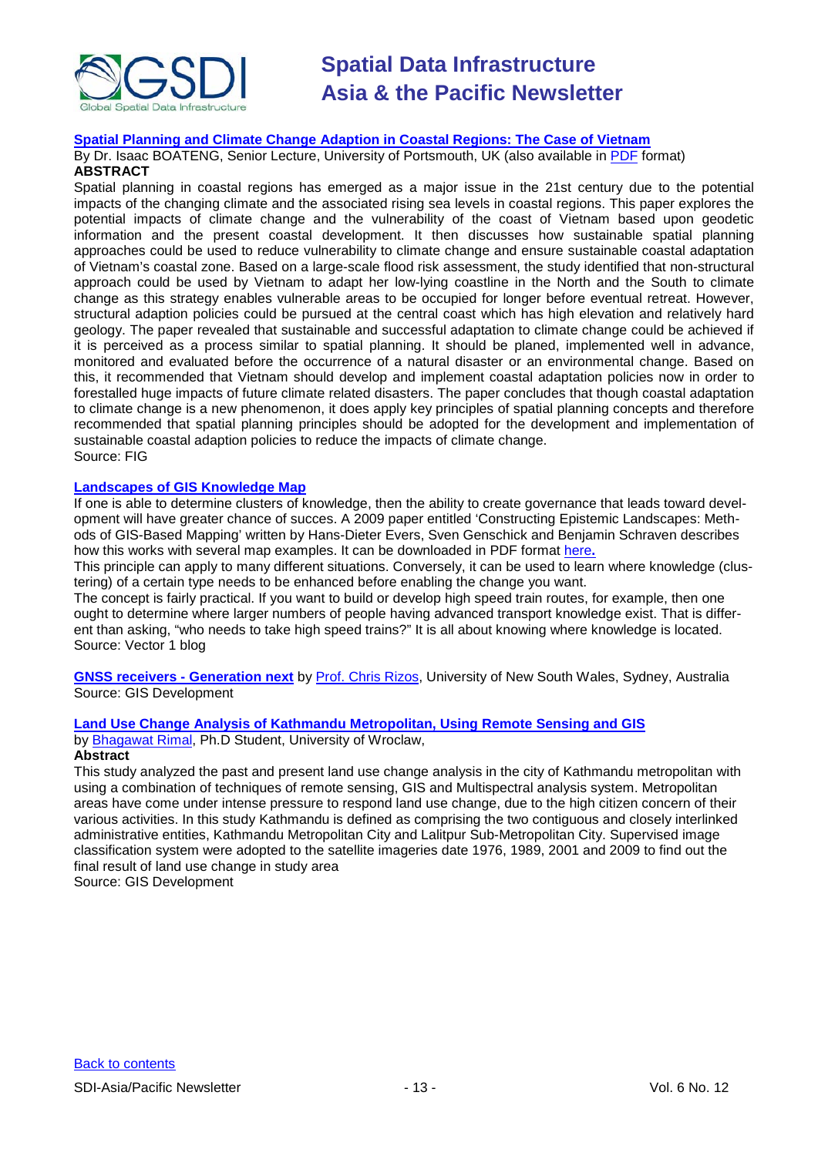

#### **[Spatial Planning and Climate Change Adaption in Coastal Regions: The Case of Vietnam](http://www.fig.net/pub/monthly_articles/october_2009/october_2009_boateng.html)**

By Dr. Isaac BOATENG, Senior Lecture, University of Portsmouth, UK (also available in [PDF](http://www.fig.net/pub/monthly_articles/october_2009/october_2009_boateng.pdf) format) **ABSTRACT**

Spatial planning in coastal regions has emerged as a major issue in the 21st century due to the potential impacts of the changing climate and the associated rising sea levels in coastal regions. This paper explores the potential impacts of climate change and the vulnerability of the coast of Vietnam based upon geodetic information and the present coastal development. It then discusses how sustainable spatial planning approaches could be used to reduce vulnerability to climate change and ensure sustainable coastal adaptation of Vietnam's coastal zone. Based on a large-scale flood risk assessment, the study identified that non-structural approach could be used by Vietnam to adapt her low-lying coastline in the North and the South to climate change as this strategy enables vulnerable areas to be occupied for longer before eventual retreat. However, structural adaption policies could be pursued at the central coast which has high elevation and relatively hard geology. The paper revealed that sustainable and successful adaptation to climate change could be achieved if it is perceived as a process similar to spatial planning. It should be planed, implemented well in advance, monitored and evaluated before the occurrence of a natural disaster or an environmental change. Based on this, it recommended that Vietnam should develop and implement coastal adaptation policies now in order to forestalled huge impacts of future climate related disasters. The paper concludes that though coastal adaptation to climate change is a new phenomenon, it does apply key principles of spatial planning concepts and therefore recommended that spatial planning principles should be adopted for the development and implementation of sustainable coastal adaption policies to reduce the impacts of climate change. Source: FIG

#### **[Landscapes of GIS Knowledge Map](http://www.vector1media.com/vectorone/?p=4032)**

If one is able to determine clusters of knowledge, then the ability to create governance that leads toward development will have greater chance of succes. A 2009 paper entitled 'Constructing Epistemic Landscapes: Methods of GIS-Based Mapping' written by Hans-Dieter Evers, Sven Genschick and Benjamin Schraven describes how this works with several map examples. It can be downloaded in PDF format [here](http://mpra.ub.uni-muenchen.de/17135/1/MPRA_paper_17135.pdf)**.**

This principle can apply to many different situations. Conversely, it can be used to learn where knowledge (clustering) of a certain type needs to be enhanced before enabling the change you want.

The concept is fairly practical. If you want to build or develop high speed train routes, for example, then one ought to determine where larger numbers of people having advanced transport knowledge exist. That is different than asking, "who needs to take high speed trains?" It is all about knowing where knowledge is located. Source: Vector 1 blog

**[GNSS receivers -](http://www.gisdevelopment.net/magazine/global/2009/November/20.htm) Generation next** by [Prof. Chris Rizos,](mailto:c.rizos@unsw.edu.au) University of New South Wales, Sydney, Australia Source: GIS Development

#### **[Land Use Change Analysis of Kathmandu Metropolitan, Using Remote Sensing and GIS](http://www.gisdevelopment.net/application/lis/urban/urban_Kthmnd_Bhagawat.htm)**

by [Bhagawat Rimal,](mailto:geonp_2001@yahoo.com) Ph.D Student, University of Wroclaw, **Abstract**

This study analyzed the past and present land use change analysis in the city of Kathmandu metropolitan with using a combination of techniques of remote sensing, GIS and Multispectral analysis system. Metropolitan areas have come under intense pressure to respond land use change, due to the high citizen concern of their various activities. In this study Kathmandu is defined as comprising the two contiguous and closely interlinked administrative entities, Kathmandu Metropolitan City and Lalitpur Sub-Metropolitan City. Supervised image classification system were adopted to the satellite imageries date 1976, 1989, 2001 and 2009 to find out the final result of land use change in study area

Source: GIS Development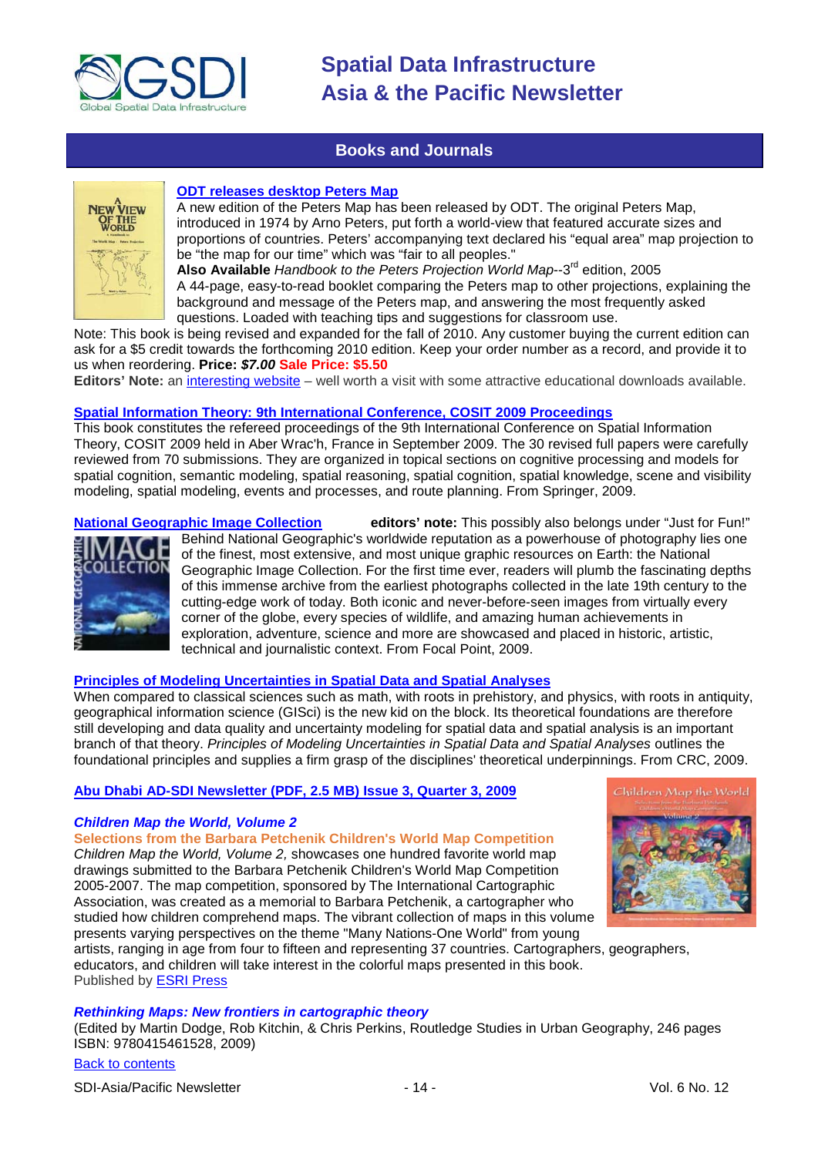

## **Books and Journals**

<span id="page-13-0"></span>

#### **[ODT releases desktop Peters Map](http://www.odtmaps.com/peters-equal-area-maps.46.0.0.1.htm)**

A new edition of the Peters Map has been released by ODT. The original Peters Map, introduced in 1974 by Arno Peters, put forth a world-view that featured accurate sizes and proportions of countries. Peters' accompanying text declared his "equal area" map projection to be "the map for our time" which was "fair to all peoples."

**Also Available** *Handbook to the Peters Projection World Map*--3rd edition, 2005 A 44-page, easy-to-read booklet comparing the Peters map to other projections, explaining the background and message of the Peters map, and answering the most frequently asked questions. Loaded with teaching tips and suggestions for classroom use.

Note: This book is being revised and expanded for the fall of 2010. Any customer buying the current edition can ask for a \$5 credit towards the forthcoming 2010 edition. Keep your order number as a record, and provide it to us when reordering. **Price:** *\$7.00* **Sale Price: \$5.50**

**Editors' Note:** an [interesting website](http://www.odtmaps.com/) – well worth a visit with some attractive educational downloads available.

#### **[Spatial Information Theory: 9th International Conference, COSIT 2009 Proceedings](http://www.amazon.com/exec/obidos/ASIN/364203831X/directionsm00-20)**

This book constitutes the refereed proceedings of the 9th International Conference on Spatial Information Theory, COSIT 2009 held in Aber Wrac'h, France in September 2009. The 30 revised full papers were carefully reviewed from 70 submissions. They are organized in topical sections on cognitive processing and models for spatial cognition, semantic modeling, spatial reasoning, spatial cognition, spatial knowledge, scene and visibility modeling, spatial modeling, events and processes, and route planning. From Springer, 2009.

Ğ

**[National Geographic Image Collection](http://www.amazon.com/exec/obidos/ASIN/1426205031/directionsm00-20) editors' note:** This possibly also belongs under "Just for Fun!" Behind National Geographic's worldwide reputation as a powerhouse of photography lies one of the finest, most extensive, and most unique graphic resources on Earth: the National Geographic Image Collection. For the first time ever, readers will plumb the fascinating depths of this immense archive from the earliest photographs collected in the late 19th century to the cutting-edge work of today. Both iconic and never-before-seen images from virtually every corner of the globe, every species of wildlife, and amazing human achievements in exploration, adventure, science and more are showcased and placed in historic, artistic, technical and journalistic context. From Focal Point, 2009.

#### **[Principles of Modeling Uncertainties in Spatial Data and Spatial Analyses](http://www.amazon.com/exec/obidos/ASIN/1420059270/directionsm00-20)**

When compared to classical sciences such as math, with roots in prehistory, and physics, with roots in antiquity, geographical information science (GISci) is the new kid on the block. Its theoretical foundations are therefore still developing and data quality and uncertainty modeling for spatial data and spatial analysis is an important branch of that theory. *Principles of Modeling Uncertainties in Spatial Data and Spatial Analyses* outlines the foundational principles and supplies a firm grasp of the disciplines' theoretical underpinnings. From CRC, 2009.

#### **[Abu Dhabi AD-SDI Newsletter \(PDF, 2.5 MB\) Issue 3, Quarter 3, 2009](http://sdi.abudhabi.ae/Sites/SDI/Content/EN/PDF/ad-sdi-newsletter,property=pdf.pdf)**

#### *Children Map the World, Volume 2*

**Selections from the Barbara Petchenik Children's World Map Competition** *Children Map the World, Volume 2,* showcases one hundred favorite world map drawings submitted to the Barbara Petchenik Children's World Map Competition 2005-2007. The map competition, sponsored by The International Cartographic Association, was created as a memorial to Barbara Petchenik, a cartographer who studied how children comprehend maps. The vibrant collection of maps in this volume presents varying perspectives on the theme "Many Nations-One World" from young



artists, ranging in age from four to fifteen and representing 37 countries. Cartographers, geographers, educators, and children will take interest in the colorful maps presented in this book. Published by [ESRI Press](http://esripress.esri.com/display/index.cfm?fuseaction=display&websiteID=163&moduleID=0)

### *Rethinking Maps: New frontiers in cartographic theory*

(Edited by Martin Dodge, Rob Kitchin, & Chris Perkins, [Routledge Studies in Urban Geography,](http://www.routledge.com/books/Rethinking-Maps-isbn9780415461528) 246 pages ISBN: 9780415461528, 2009)

[Back to contents](#page-0-0)

SDI-Asia/Pacific Newsletter  $\sim$  14 - 14 - Vol. 6 No. 12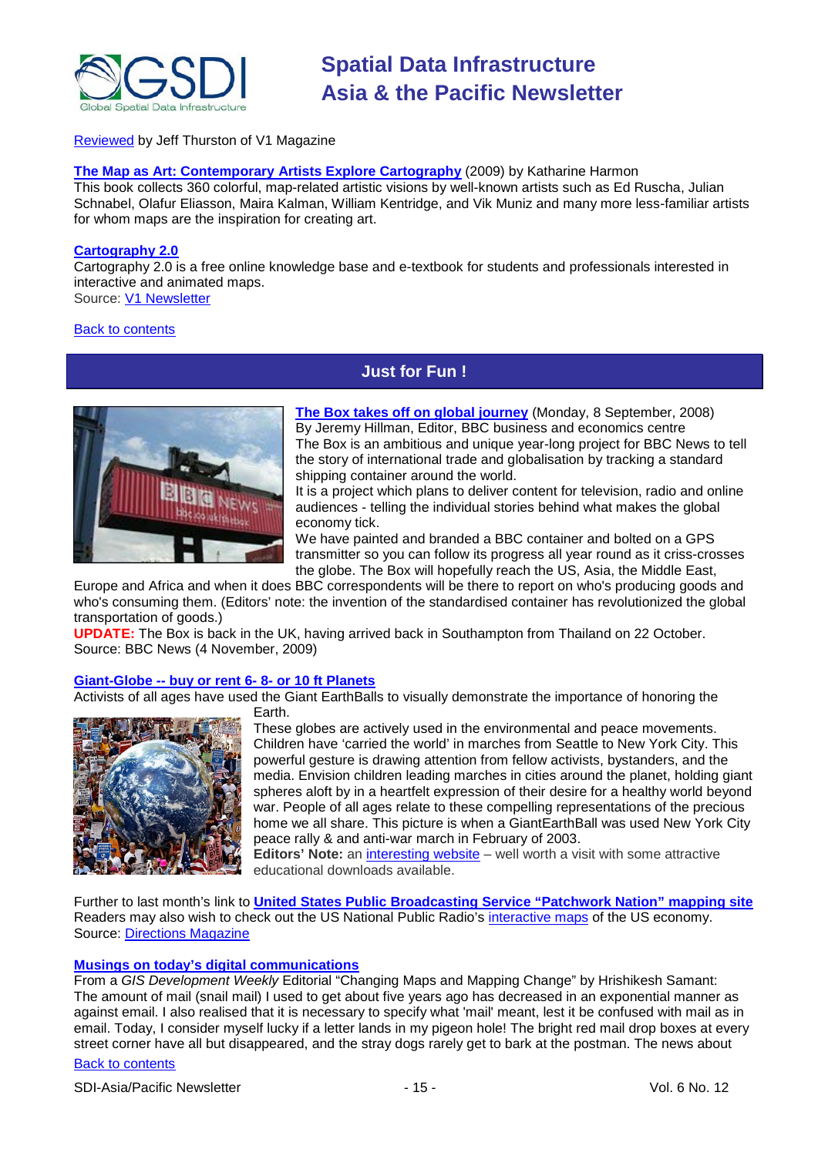

#### [Reviewed](http://vector1media.com/articles/reviews/9802-rethinking-maps) by Jeff Thurston of V1 Magazine

## **[The Map as Art: Contemporary Artists Explore Cartography](http://www.amazon.com/gp/product/1568987625?ie=UTF8&tag=vectmedi-20&linkCode=xm2&creativeASIN=1568987625)** (2009) by Katharine Harmon

This book collects 360 colorful, map-related artistic visions by well-known artists such as Ed Ruscha, Julian Schnabel, Olafur Eliasson, Maira Kalman, William Kentridge, and Vik Muniz and many more less-familiar artists for whom maps are the inspiration for creating art.

#### **[Cartography 2.0](http://cartography2.org/)**

Cartography 2.0 is a free online knowledge base and e-textbook for students and professionals interested in interactive and animated maps. Source: [V1 Newsletter](http://www.vector1media.com/resources/newsletter/9804-v1-newsletter-vol-3-issue-43)

#### <span id="page-14-0"></span>[Back to contents](#page-0-0)

## **Just for Fun !**



**[The Box takes off on global journey](http://news.bbc.co.uk/2/hi/in_depth/business/2008/the_box/default.stm)** (Monday, 8 September, 2008) By Jeremy Hillman, Editor, BBC business and economics centre The Box is an ambitious and unique year-long project for BBC News to tell the story of international trade and globalisation by tracking a standard shipping container around the world.

It is a project which plans to deliver content for television, radio and online audiences - telling the individual stories behind what makes the global economy tick.

We have painted and branded a BBC container and bolted on a GPS transmitter so [you can follow its progress](http://news.bbc.co.uk/2/hi/in_depth/629/629/7600053.stm) all year round as it criss-crosses the globe. The Box will hopefully reach the US, Asia, the Middle East,

Europe and Africa and when it does BBC correspondents will be there to report on who's producing goods and who's consuming them. (Editors' note: the invention of the standardised container has revolutionized the global transportation of goods.)

**UPDATE:** The Box is back in the UK, having arrived back in Southampton from Thailand on 22 October. Source: BBC News (4 November, 2009)

#### **Giant-Globe -- buy or rent 6- 8- [or 10 ft Planets](http://www.odtmaps.com/detail.asp_Q_product_id_E_Globe-giant)**

Activists of all ages have used the Giant EarthBalls to visually demonstrate the importance of honoring the



Earth. These globes are actively used in the environmental and peace movements. Children have 'carried the world' in marches from Seattle to New York City. This powerful gesture is drawing attention from fellow activists, bystanders, and the media. Envision children leading marches in cities around the planet, holding giant spheres aloft by in a heartfelt expression of their desire for a healthy world beyond war. People of all ages relate to these compelling representations of the precious home we all share. This picture is when a GiantEarthBall was used New York City peace rally & and anti-war march in February of 2003.

**Editors' Note:** an [interesting website](http://www.odtmaps.com/) – well worth a visit with some attractive educational downloads available.

Further to last month's link to **[United States Public Broadcasting Service "Patchwork Nation" mapping site](http://www.pbs.org/newshour/patchworknation/)** Readers may also wish to check out the US National Public Radio's [interactive maps](http://www.npr.org/templates/story/story.php?storyId=111494514) of the US economy. Source: [Directions Magazine](http://www.directionsmedia.net/newsletters.archive/index.php?ID=1522)

#### **[Musings on today's digital communications](http://www.gisdevelopment.net/ezine/weekly/nov2309.htm)**

From a *GIS Development Weekly* Editorial "Changing Maps and Mapping Change" by Hrishikesh Samant: The amount of mail (snail mail) I used to get about five years ago has decreased in an exponential manner as against email. I also realised that it is necessary to specify what 'mail' meant, lest it be confused with mail as in email. Today, I consider myself lucky if a letter lands in my pigeon hole! The bright red mail drop boxes at every street corner have all but disappeared, and the stray dogs rarely get to bark at the postman. The news about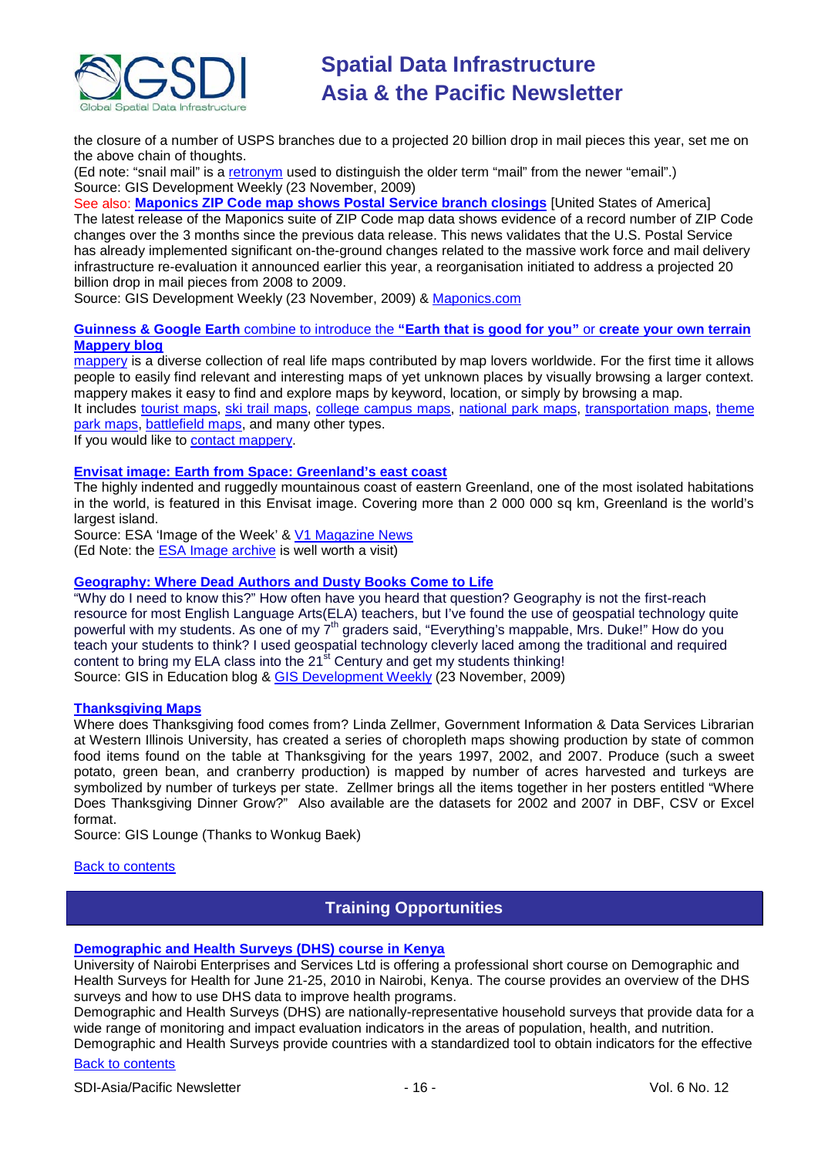

the closure of a number of [USPS](http://www.gisdevelopment.net/news/viewn.asp?id=GIS:N_mpcobqutej) branches due to a projected 20 billion drop in mail pieces this year, set me on the above chain of thoughts.

(Ed note: "snail mail" is a [retronym](http://en.wikipedia.org/wiki/Retronym) used to distinguish the older term "mail" from the newer "email".) Source: GIS Development Weekly (23 November, 2009)

See also: **[Maponics ZIP Code map shows Postal Service branch closings](http://www.gisdevelopment.net/news/viewn.asp?id=GIS:N_mpcobqutej&Ezine=nov2309§ion=News)** [United States of America] The latest release of the Maponics suite of ZIP Code map data shows evidence of a record number of ZIP Code changes over the 3 months since the previous data release. This news validates that the U.S. Postal Service has already implemented significant on-the-ground changes related to the massive work force and mail delivery infrastructure re-evaluation it announced earlier this year, a reorganisation initiated to address a projected 20 billion drop in mail pieces from 2008 to 2009.

Source: GIS Development Weekly (23 November, 2009) & [Maponics.com](http://www.maponics.com/About_Maponics/MaponicsNews/ZIP_Data_Captures_USPS_Changes/zip_data_captures_usps_changes.html)

#### **[Guinness & Google Earth](http://www.campaignlive.co.uk/channel/FoodDrink/article/950455/guinness-introduces-new-line-brings-world-life-latest-ad/)** combine to introduce the **"Earth that is good for you"** or **create your own terrain [Mappery blog](http://mappery.wordpress.com/)**

[mappery](http://mappery.com/) is a diverse collection of real life maps contributed by map lovers worldwide. For the first time it allows people to easily find relevant and interesting maps of yet unknown places by visually browsing a larger context. mappery makes it easy to find and explore maps by keyword, location, or simply by browsing a map.

It includes [tourist maps,](http://www.mappery.com/searchmap.php?locLat=&locLong=&kw=tourism&location=) [ski trail maps,](http://www.mappery.com/tagsmap.php?tag=ski%20area) [college campus maps,](http://www.mappery.com/searchmap.php?locLat=&locLong=&kw=college&location=) [national park maps,](http://www.mappery.com/tagsmap.php?tag=national%20park) [transportation maps,](http://www.mappery.com/tagsmap.php?tag=transportation) theme [park maps,](http://www.mappery.com/tagsmap.php?tag=theme%20park) [battlefield maps,](http://www.mappery.com/searchmap.php?locLat=&locLong=&kw=battlefield&location=) and many other types.

If you would like to [contact mappery.](mailto:info@mappery.com)

#### **Envisat image: [Earth from Space: Greenland's east coast](http://www.esa.int/esaEO/SEMEYWAOE1G_index_0.html)**

The highly indented and ruggedly mountainous coast of eastern Greenland, one of the most isolated habitations in the world, is featured in this Envisat image. Covering more than 2 000 000 sq km, Greenland is the world's largest island.

Source: ESA 'Image of the Week' & [V1 Magazine News](http://www.vector1media.com/news/headlines/9791-greenland-worlds-largest-island) (Ed Note: the [ESA Image archive](http://www.esa.int/esaEO/SEM9UELY17E_index_0.html) is well worth a visit)

#### **[Geography: Where Dead Authors and Dusty Books Come to Life](http://gisined.blogspot.com/2009/11/geography-where-dead-authors-and-dusty.html)**

"Why do I need to know this?" How often have you heard that question? Geography is not the first-reach resource for most English Language Arts(ELA) teachers, but I've found the use of geospatial technology quite powerful with my students. As one of my  $7<sup>th</sup>$  graders said, "Everything's mappable, Mrs. Duke!" How do you teach your students to think? I used geospatial technology cleverly laced among the traditional and required content to bring my ELA class into the  $21<sup>st</sup>$  Century and get my students thinking! Source: GIS in Education blog & <u>GIS Development Weekly</u> (23 November, 2009)

#### **[Thanksgiving Maps](http://faculty.wiu.edu/LR-Zellmer/thanksgiving.html)**

Where does Thanksgiving food comes from? Linda Zellmer, Government Information & Data Services Librarian at Western Illinois University, has created a series of choropleth maps showing production by state of common food items found on the table at Thanksgiving for the years 1997, 2002, and 2007. Produce (such a sweet potato, green bean, and cranberry production) is mapped by number of acres harvested and turkeys are symbolized by number of turkeys per state. Zellmer brings all the items together in her posters entitled "Where Does Thanksgiving Dinner Grow?" Also available are the datasets for 2002 and 2007 in DBF, CSV or Excel format.

Source: GIS Lounge (Thanks to Wonkug Baek)

<span id="page-15-0"></span>[Back to contents](#page-0-0)

## **Training Opportunities**

#### **[Demographic and Health Surveys \(DHS\) course in Kenya](http://www.measuredhs.com/wn1/reports/Demographic%20health%20surveys_final%20flyer.pdf)**

University of Nairobi Enterprises and Services Ltd is offering a professional short course on Demographic and Health Surveys for Health for June 21-25, 2010 in Nairobi, Kenya. The course provides an overview of the DHS surveys and how to use DHS data to improve health programs.

Demographic and Health Surveys (DHS) are nationally-representative household surveys that provide data for a wide range of monitoring and impact evaluation indicators in the areas of population, health, and nutrition.

[Back to contents](#page-0-0) Demographic and Health Surveys provide countries with a standardized tool to obtain indicators for the effective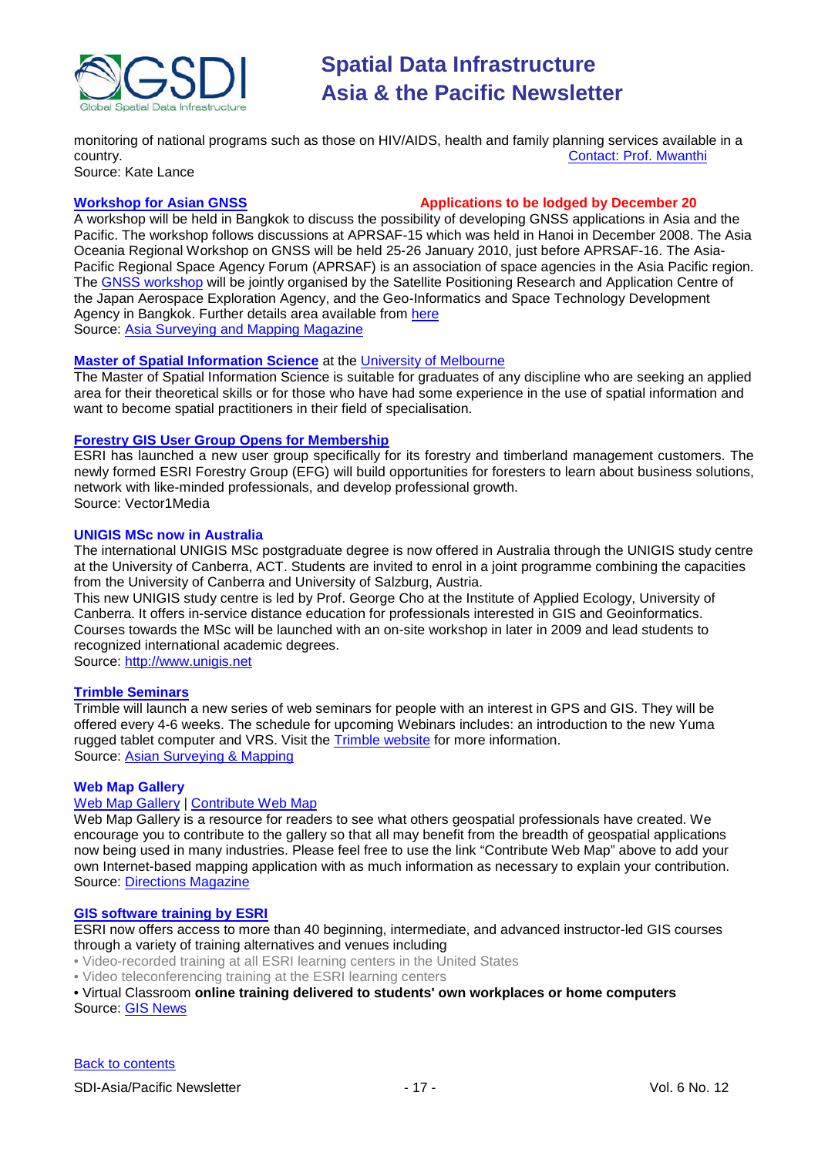

monitoring of national programs such as those on HIV/AIDS, health and family planning services available in a<br>country. Contact: Prof. Mwanthi [Contact: Prof.](mailto:mmwanthi@uonbi.ac.ke) Mwanthi

Source: Kate Lance

### **[Workshop for Asian GNSS](http://www.asmmag.com/news/workshop-for-asian-gnss) Applications to be lodged by December 20**

A workshop will be held in Bangkok to discuss the possibility of developing GNSS applications in Asia and the Pacific. The workshop follows discussions at APRSAF-15 which was held in Hanoi in December 2008. The Asia Oceania Regional Workshop on GNSS will be held 25-26 January 2010, just before APRSAF-16. The Asia-Pacific Regional Space Agency Forum (APRSAF) is an association of space agencies in the Asia Pacific region. The [GNSS workshop](http://www.multignss.asia/pdf/Invitation_Letter_Multi-GNSS_Workshop(WEB).pdf) will be jointly organised by the Satellite Positioning Research and Application Centre of the Japan Aerospace Exploration Agency, and the Geo-Informatics and Space Technology Development Agency in Bangkok. Further details area available from [here](http://www.multignss.asia/pdf/Invitation_Letter_Multi-GNSS_Workshop(WEB).pdf) Source: [Asia Surveying and Mapping Magazine](http://au.mg2.mail.yahoo.com/dc/launch?.gx=1&.rand=18q4rthesepum)

#### **[Master of Spatial Information Science](http://www.eng.unimelb.edu.au/Postgrad/MEng/grad_msis.html)** at the [University of Melbourne](http://www.unimelb.edu.au/)

The Master of Spatial Information Science is suitable for graduates of any discipline who are seeking an applied area for their theoretical skills or for those who have had some experience in the use of spatial information and want to become spatial practitioners in their field of specialisation.

#### **[Forestry GIS User Group Opens for Membership](http://www.vector1media.com/news/top-stories/53-corporate-news/8187-forestry-gis-user-group-opens-for-membership)**

ESRI has launched a new user group specifically for its forestry and timberland management customers. The newly formed ESRI Forestry Group (EFG) will build opportunities for foresters to learn about business solutions, network with like-minded professionals, and develop professional growth. Source: Vector1Media

#### **UNIGIS MSc now in Australia**

The international UNIGIS MSc postgraduate degree is now offered in Australia through the UNIGIS study centre at the University of Canberra, ACT. Students are invited to enrol in a joint programme combining the capacities from the University of Canberra and University of Salzburg, Austria.

This new UNIGIS study centre is led by Prof. George Cho at the Institute of Applied Ecology, University of Canberra. It offers in-service distance education for professionals interested in GIS and Geoinformatics. Courses towards the MSc will be launched with an on-site workshop in later in 2009 and lead students to recognized international academic degrees.

Source: [http://www.unigis.net](http://www.unigis.net/)

#### **[Trimble Seminars](http://www.trimble.com/mgis/webinars.shtml)**

Trimble will launch a new series of web seminars for people with an interest in GPS and GIS. They will be offered every 4-6 weeks. The schedule for upcoming Webinars includes: an introduction to the new Yuma rugged tablet computer and VRS. Visit the [Trimble website](http://www.trimble.com/mgis/webinars.shtml) for more information. Source: [Asian Surveying & Mapping](http://www.asmmag.com/news)

#### **Web Map Gallery**

#### [Web Map Gallery](http://www.directionsmag.com/webmapgallery/) | [Contribute Web Map](http://www.directionsmag.com/webmapgallery/?duty=Contribute)

Web Map Gallery is a resource for readers to see what others geospatial professionals have created. We encourage you to contribute to the gallery so that all may benefit from the breadth of geospatial applications now being used in many industries. Please feel free to use the link "Contribute Web Map" above to add your own Internet-based mapping application with as much information as necessary to explain your contribution. Source: [Directions Magazine](http://www.directionsmag.com/webmapgallery/)

#### **[GIS software training by ESRI](http://training.esri.com/gateway/index.cfm?fa=trainingOptions.gateway)**

ESRI now offers access to more than 40 beginning, intermediate, and advanced instructor-led GIS courses through a variety of training alternatives and venues including

- Video-recorded training at all ESRI learning centers in the United States
- Video teleconferencing training at the ESRI learning centers

• Virtual Classroom **online training delivered to students' own workplaces or home computers** Source: GIS News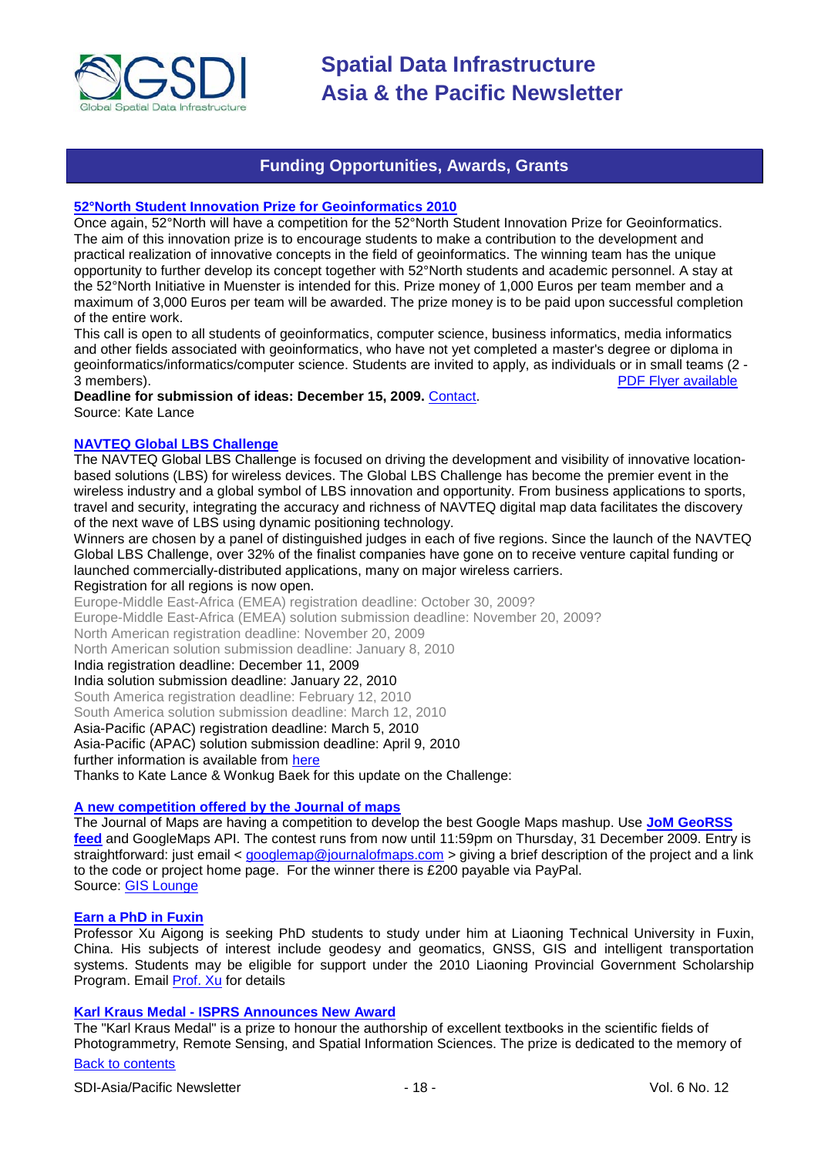

## **Funding Opportunities, Awards, Grants**

#### <span id="page-17-0"></span>**[52°North Student Innovation Prize for Geoinformatics 2010](http://52north.org/index.php?option=com_content&view=article&id=324:52n-ip-2010&catid=35:news-lnews-mila&Itemid=252)**

Once again, 52°North will have a competition for the 52°North Student Innovation Prize for Geoinformatics. The aim of this innovation prize is to encourage students to make a contribution to the development and practical realization of innovative concepts in the field of geoinformatics. The winning team has the unique opportunity to further develop its concept together with 52°North students and academic personnel. A stay at the 52°North Initiative in Muenster is intended for this. Prize money of 1,000 Euros per team member and a maximum of 3,000 Euros per team will be awarded. The prize money is to be paid upon successful completion of the entire work.

This call is open to all students of geoinformatics, computer science, business informatics, media informatics and other fields associated with geoinformatics, who have not yet completed a master's degree or diploma in geoinformatics/informatics/computer science. Students are invited to apply, as individuals or in small teams (2 -<br>3 members). PDF Flyer available [PDF Flyer available](http://52north.org/images/stories/52n/admin/docs/IP2010/52n_prize_call_for_entries_2010.pdf)

**Deadline for submission of ideas: December 15, 2009.** [Contact.](mailto:52nprize@52north.org) Source: Kate Lance

#### **[NAVTEQ Global LBS Challenge](http://developer.navteq.com/site/global/market/lbs_challenge/p_lbs_home.jsp)**

The NAVTEQ Global LBS Challenge is focused on driving the development and visibility of innovative locationbased solutions (LBS) for wireless devices. The Global LBS Challenge has become the premier event in the wireless industry and a global symbol of LBS innovation and opportunity. From business applications to sports, travel and security, integrating the accuracy and richness of NAVTEQ digital map data facilitates the discovery of the next wave of LBS using dynamic positioning technology.

Winners are chosen by a panel of distinguished judges in each of five regions. Since the launch of the NAVTEQ Global LBS Challenge, over 32% of the finalist companies have gone on to receive venture capital funding or launched commercially-distributed applications, many on major wireless carriers.

#### Registration for all regions is now open.

Europe-Middle East-Africa (EMEA) registration deadline: October 30, 2009?

Europe-Middle East-Africa (EMEA) solution submission deadline: November 20, 2009?

North American registration deadline: November 20, 2009

North American solution submission deadline: January 8, 2010

India registration deadline: December 11, 2009

India solution submission deadline: January 22, 2010

South America registration deadline: February 12, 2010

South America solution submission deadline: March 12, 2010

Asia-Pacific (APAC) registration deadline: March 5, 2010 Asia-Pacific (APAC) solution submission deadline: April 9, 2010

further information is available from [here](http://developer.navteq.com/site/global/market/lbs_challenge/p_lbs_home.jsp)

Thanks to Kate Lance & Wonkug Baek for this update on the Challenge:

## **A new competition offered by the Journal of maps**

The Journal of Maps are having a competition to develop the best Google Maps mashup. Use **[JoM GeoRSS](http://journalofmaps.com/about.php?helpfile=smartyRSS.xml)  [feed](http://journalofmaps.com/about.php?helpfile=smartyRSS.xml)** and GoogleMaps API. The contest runs from now until 11:59pm on Thursday, 31 December 2009. Entry is straightforward: just email < [googlemap@journalofmaps.com](mailto:%20googlemap@journalofmaps.com) > giving a brief description of the project and a link to the code or project home page. For the winner there is £200 payable via PayPal. Source: [GIS Lounge](http://gislounge.com/journal-of-maps-google-maps-mashup-competition/)

### **Earn a PhD in Fuxin**

Professor Xu Aigong is seeking PhD students to study under him at Liaoning Technical University in Fuxin, China. His subjects of interest include geodesy and geomatics, GNSS, GIS and intelligent transportation systems. Students may be eligible for support under the 2010 Liaoning Provincial Government Scholarship Program. Email [Prof. Xu](mailto:%22xu_ag@126.com%22) for details

#### **Karl Kraus Medal - ISPRS Announces New Award**

The "Karl Kraus Medal" is a prize to honour the authorship of excellent textbooks in the scientific fields of Photogrammetry, Remote Sensing, and Spatial Information Sciences. The prize is dedicated to the memory of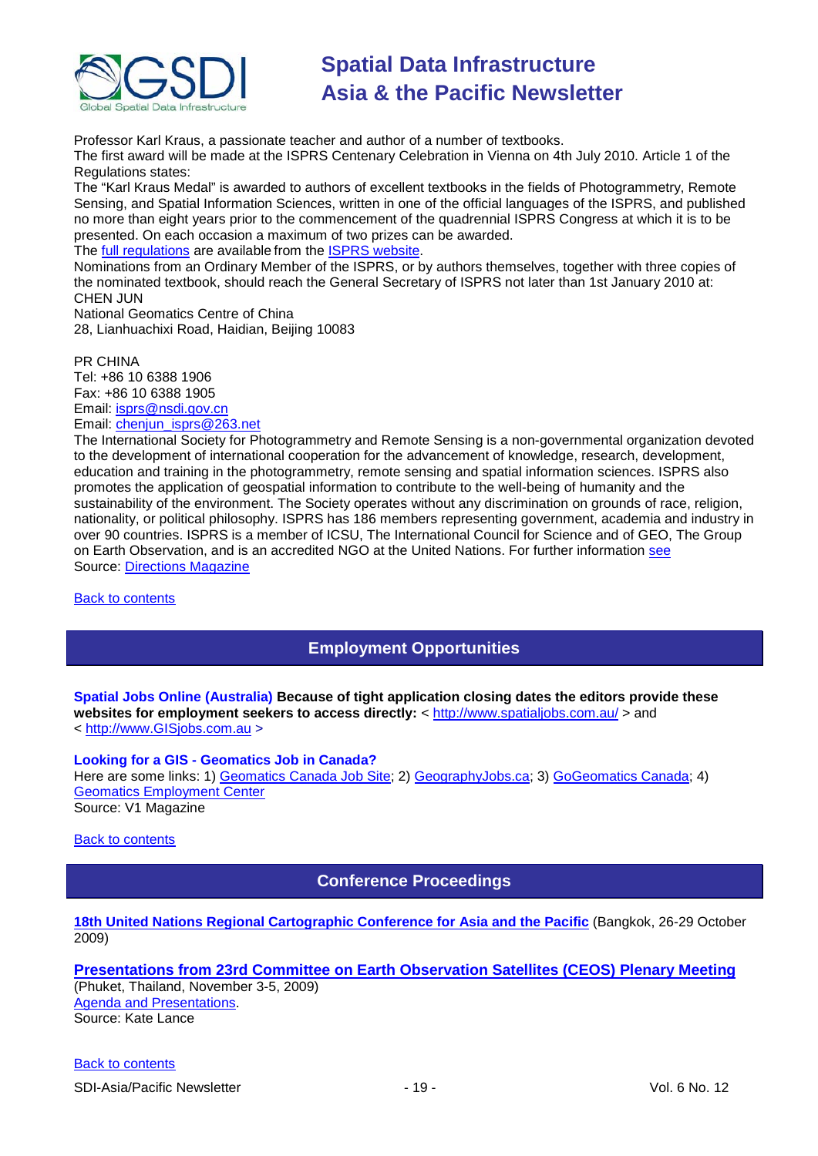

Professor Karl Kraus, a passionate teacher and author of a number of textbooks. The first award will be made at the ISPRS Centenary Celebration in Vienna on 4th July 2010. Article 1 of the Regulations states:

The "Karl Kraus Medal" is awarded to authors of excellent textbooks in the fields of Photogrammetry, Remote Sensing, and Spatial Information Sciences, written in one of the official languages of the ISPRS, and published no more than eight years prior to the commencement of the quadrennial ISPRS Congress at which it is to be presented. On each occasion a maximum of two prizes can be awarded.

The [full regulations](http://www.isprs.org/documents/awards.aspx) are available from the [ISPRS website.](http://www.isprs.org/)

Nominations from an Ordinary Member of the ISPRS, or by authors themselves, together with three copies of the nominated textbook, should reach the General Secretary of ISPRS not later than 1st January 2010 at: CHEN JUN

National Geomatics Centre of China 28, Lianhuachixi Road, Haidian, Beijing 10083

PR CHINA Tel: +86 10 6388 1906 Fax: +86 10 6388 1905 Email: [isprs@nsdi.gov.cn](mailto:isprs@nsdi.gov.cn) Email: [chenjun\\_isprs@263.net](mailto:chenjun_isprs@263.net)

The International Society for Photogrammetry and Remote Sensing is a non-governmental organization devoted to the development of international cooperation for the advancement of knowledge, research, development, education and training in the photogrammetry, remote sensing and spatial information sciences. ISPRS also promotes the application of geospatial information to contribute to the well-being of humanity and the sustainability of the environment. The Society operates without any discrimination on grounds of race, religion, nationality, or political philosophy. ISPRS has 186 members representing government, academia and industry in over 90 countries. ISPRS is a member of ICSU, The International Council for Science and of GEO, The Group on Earth Observation, and is an accredited NGO at the United Nations. For further information [see](http://www.isprs.org/) Source: [Directions Magazine](http://www.directionsmag.com/press.releases/?duty=Show&id=39338)

<span id="page-18-0"></span>[Back to contents](#page-0-0)

# **Employment Opportunities**

**Spatial Jobs Online (Australia) Because of tight application closing dates the editors provide these**  websites for employment seekers to access directly: <<http://www.spatialjobs.com.au/> > and < [http://www.GISjobs.com.au](http://www.gisjobs.com.au/) >

#### **Looking for a GIS - Geomatics Job in Canada?**

Here are some links: 1) [Geomatics Canada Job Site;](http://geomaticscanada.com/jobs.cfm) 2) [GeographyJobs.ca;](http://www.geographyjobs.ca/) 3) [GoGeomatics Canada;](http://canada.gogeomatics.net/frmHome.aspx) 4) [Geomatics Employment Center](http://gisjobs.ca/)

Source: V1 Magazine

<span id="page-18-1"></span>[Back to contents](#page-0-0)

## **Conference Proceedings**

## **[18th United Nations Regional Cartographic Conference for Asia and the Pacific](http://unstats.un.org/unsd/methods/cartog/Asia_and_Pacific/18/18th-UNRCC-AP-Docs.htm)** (Bangkok, 26-29 October 2009)

## **[Presentations from 23rd Committee on Earth Observation Satellites \(CEOS\) Plenary Meeting](http://conference.gistda.or.th/ceos2009/)**

(Phuket, Thailand, November 3-5, 2009) [Agenda and Presentations.](http://www.symbioscomms.com/ceos2009/ceos23agenda.html) Source: Kate Lance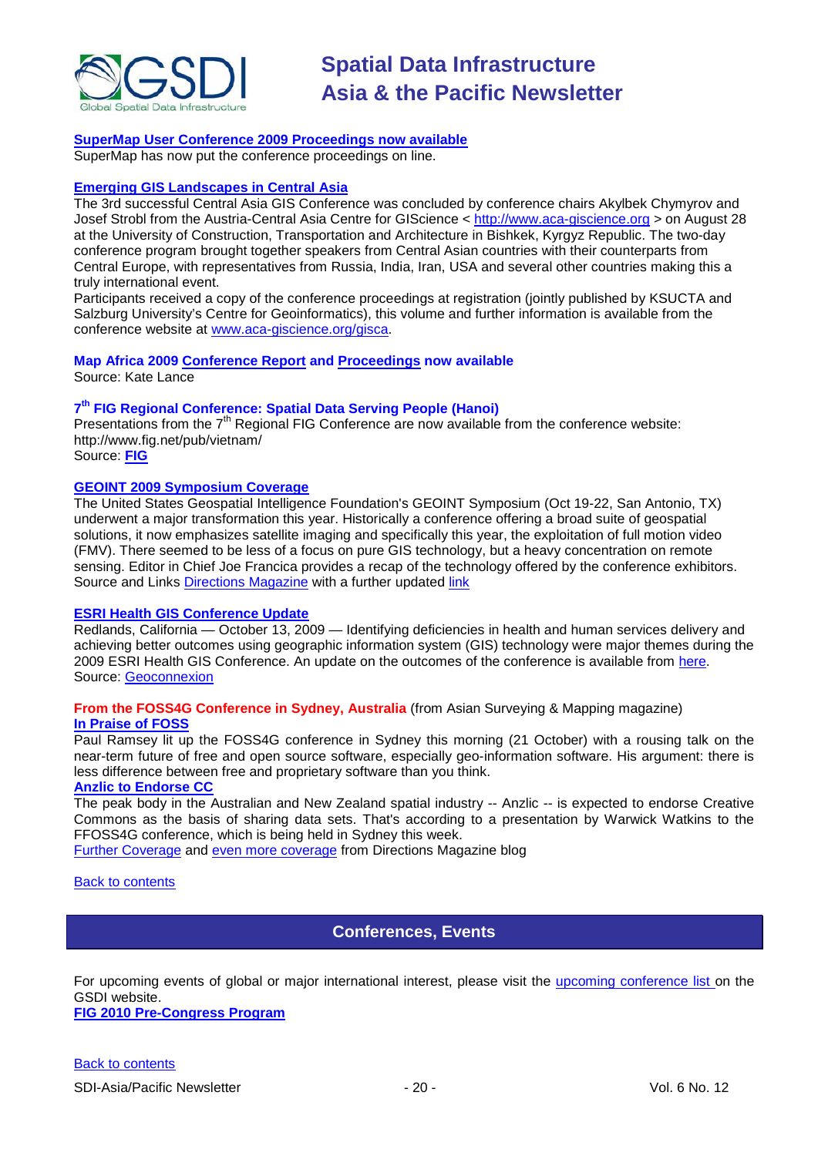

#### **[SuperMap User Conference 2009 Proceedings now available](http://www.supermap.com/events/SGC2009/index.asp)**

SuperMap has now put the conference proceedings on line.

#### **[Emerging GIS Landscapes in Central Asia](http://vector1media.com/events/event-coverage/8841-emerging-gis-landscapes-in-central-asia)**

The 3rd successful Central Asia GIS Conference was concluded by conference chairs Akylbek Chymyrov and Josef Strobl from the Austria-Central Asia Centre for GIScience < [http://www.aca-giscience.org](http://www.aca-giscience.org/) > on August 28 at the University of Construction, Transportation and Architecture in Bishkek, Kyrgyz Republic. The two-day conference program brought together speakers from Central Asian countries with their counterparts from Central Europe, with representatives from Russia, India, Iran, USA and several other countries making this a truly international event.

Participants received a copy of the conference proceedings at registration (jointly published by KSUCTA and Salzburg University's Centre for Geoinformatics), this volume and further information is available from the conference website at [www.aca-giscience.org/gisca.](http://www.aca-giscience.org/gisca)

## **Map Africa 2009 [Conference Report](http://www.gisdevelopment.net/magazine/global/2009/October/50.htm) and [Proceedings](http://mapafrica.gisdevelopment.net/2009/proceeding/index.htm) now available**

Source: Kate Lance

#### **7th FIG Regional Conference: Spatial Data Serving People (Hanoi)**

Presentations from the  $7<sup>th</sup>$  Regional FIG Conference are now available from the conference website: http://www.fig.net/pub/vietnam/

Source: **[FIG](http://www.fig.net/pub/vietnam/)**

#### **GEOINT 2009 Symposium Coverage**

The United States Geospatial Intelligence Foundation's GEOINT Symposium (Oct 19-22, San Antonio, TX) underwent a major transformation this year. Historically a conference offering a broad suite of geospatial solutions, it now emphasizes satellite imaging and specifically this year, the exploitation of full motion video (FMV). There seemed to be less of a focus on pure GIS technology, but a heavy concentration on remote sensing. Editor in Chief Joe Francica provides a recap of the technology offered by the conference exhibitors. Source and Links [Directions Magazine](http://www.directionsmedia.net/newsletters.archive/index.php?ID=1516) with a further updated [link](http://www.directionsmag.com/article.php?article_id=3319)

#### **ESRI Health GIS Conference Update**

Redlands, California — October 13, 2009 — Identifying deficiencies in health and human services delivery and achieving better outcomes using geographic information system (GIS) technology were major themes during the 2009 ESRI Health GIS Conference. An update on the outcomes of the conference is available from [here.](http://www.geoconnexion.com/geo_news_article/ESRI-Health-GIS-Conference-Update/6769) Source: [Geoconnexion](http://www.geoconnexion.com/geo_news_article/ESRI-Health-GIS-Conference-Update/6769)

#### **From the FOSS4G Conference in Sydney, Australia** (from Asian Surveying & Mapping magazine) **[In Praise of FOSS](http://www.asmmag.com/news/in-praise-of-foss)**

Paul Ramsey lit up the FOSS4G conference in Sydney this morning (21 October) with a rousing talk on the near-term future of free and open source software, especially geo-information software. His argument: there is less difference between free and proprietary software than you think.

## **[Anzlic to Endorse CC](http://www.asmmag.com/news/anzlic-to-endorse-cc)**

The peak body in the Australian and New Zealand spatial industry -- Anzlic -- is expected to endorse Creative Commons as the basis of sharing data sets. That's according to a presentation by Warwick Watkins to the FFOSS4G conference, which is being held in Sydney this week.

[Further Coverage](http://apb.directionsmag.com/archives/6687-FOSS4G-Coverage-II.html) and [even more coverage](http://www.directionsmag.com/article.php?article_id=3314) from Directions Magazine blog

<span id="page-19-0"></span>[Back to contents](#page-0-0)

## **Conferences, Events**

For upcoming events of global or major international interest, please visit the [upcoming conference list o](http://gsdi.org/events/upcnf.asp)n the GSDI website.

**[FIG 2010 Pre-Congress Program](http://www.asmmag.com/news/fig-2010-pre-congress-program)**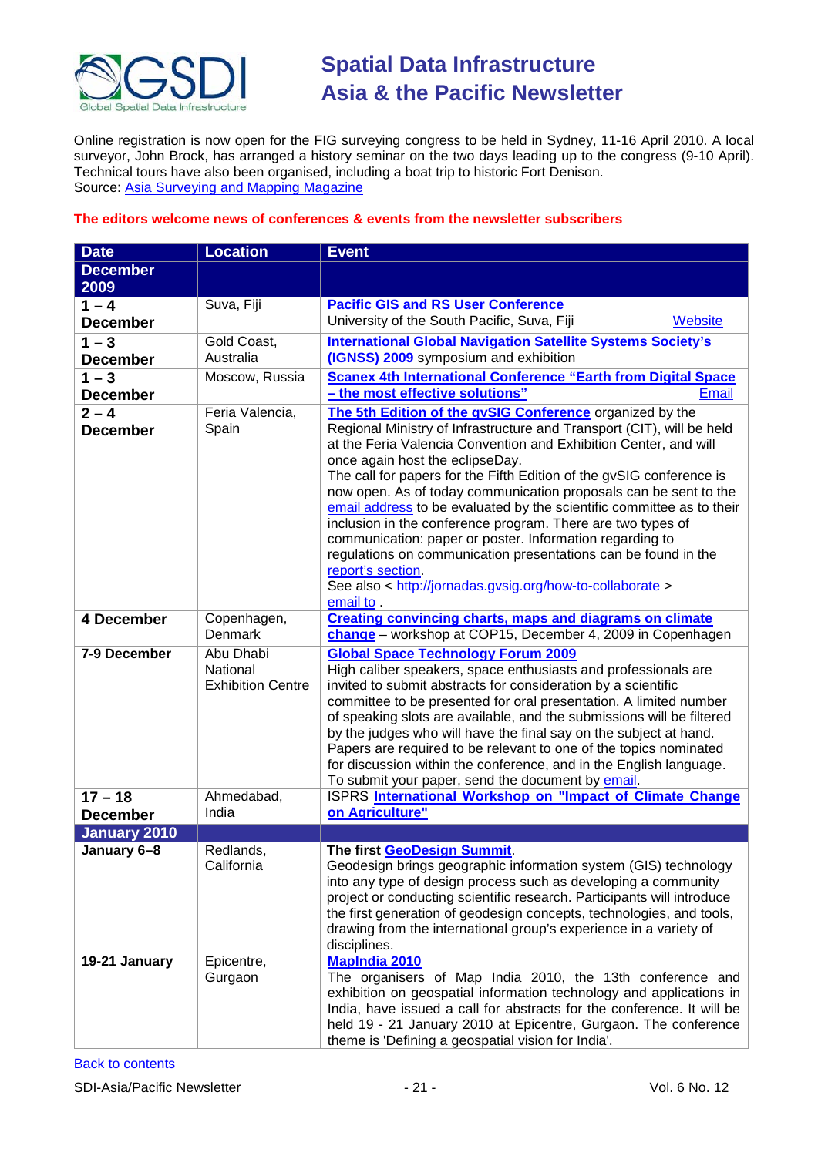

Online registration is now open for the FIG surveying congress to be held in Sydney, 11-16 April 2010. A local surveyor, John Brock, has arranged a history seminar on the two days leading up to the congress (9-10 April). Technical tours have also been organised, including a boat trip to historic Fort Denison. Source: [Asia Surveying and Mapping Magazine](http://www.asmmag.com/news/fig-2010-pre-congress-program)

### **The editors welcome news of conferences & events from the newsletter subscribers**

| <b>Date</b>                | <b>Location</b>                                                 | <b>Event</b>                                                                                                                                                                                                                                                                                                                                                                                                                                                                                                                                                                                                                                                                                  |
|----------------------------|-----------------------------------------------------------------|-----------------------------------------------------------------------------------------------------------------------------------------------------------------------------------------------------------------------------------------------------------------------------------------------------------------------------------------------------------------------------------------------------------------------------------------------------------------------------------------------------------------------------------------------------------------------------------------------------------------------------------------------------------------------------------------------|
| <b>December</b>            |                                                                 |                                                                                                                                                                                                                                                                                                                                                                                                                                                                                                                                                                                                                                                                                               |
| 2009                       |                                                                 |                                                                                                                                                                                                                                                                                                                                                                                                                                                                                                                                                                                                                                                                                               |
| $1 - 4$                    | Suva, Fiji                                                      | <b>Pacific GIS and RS User Conference</b>                                                                                                                                                                                                                                                                                                                                                                                                                                                                                                                                                                                                                                                     |
| <b>December</b>            |                                                                 | University of the South Pacific, Suva, Fiji<br>Website                                                                                                                                                                                                                                                                                                                                                                                                                                                                                                                                                                                                                                        |
| $1 - 3$<br><b>December</b> | Gold Coast,<br>Australia                                        | <b>International Global Navigation Satellite Systems Society's</b><br>(IGNSS) 2009 symposium and exhibition                                                                                                                                                                                                                                                                                                                                                                                                                                                                                                                                                                                   |
| $1 - 3$                    | Moscow, Russia                                                  | <b>Scanex 4th International Conference "Earth from Digital Space</b>                                                                                                                                                                                                                                                                                                                                                                                                                                                                                                                                                                                                                          |
| <b>December</b>            |                                                                 | - the most effective solutions"<br>Email                                                                                                                                                                                                                                                                                                                                                                                                                                                                                                                                                                                                                                                      |
| $2 - 4$                    | Feria Valencia,                                                 | The 5th Edition of the gvSIG Conference organized by the                                                                                                                                                                                                                                                                                                                                                                                                                                                                                                                                                                                                                                      |
| <b>December</b>            | Spain                                                           | Regional Ministry of Infrastructure and Transport (CIT), will be held<br>at the Feria Valencia Convention and Exhibition Center, and will<br>once again host the eclipseDay.<br>The call for papers for the Fifth Edition of the gvSIG conference is<br>now open. As of today communication proposals can be sent to the<br>email address to be evaluated by the scientific committee as to their<br>inclusion in the conference program. There are two types of<br>communication: paper or poster. Information regarding to<br>regulations on communication presentations can be found in the<br>report's section.<br>See also < http://jornadas.gvsig.org/how-to-collaborate ><br>email to. |
| 4 December                 | Copenhagen,<br>Denmark                                          | <b>Creating convincing charts, maps and diagrams on climate</b><br>change - workshop at COP15, December 4, 2009 in Copenhagen                                                                                                                                                                                                                                                                                                                                                                                                                                                                                                                                                                 |
| 7-9 December<br>$17 - 18$  | Abu Dhabi<br>National<br><b>Exhibition Centre</b><br>Ahmedabad, | <b>Global Space Technology Forum 2009</b><br>High caliber speakers, space enthusiasts and professionals are<br>invited to submit abstracts for consideration by a scientific<br>committee to be presented for oral presentation. A limited number<br>of speaking slots are available, and the submissions will be filtered<br>by the judges who will have the final say on the subject at hand.<br>Papers are required to be relevant to one of the topics nominated<br>for discussion within the conference, and in the English language.<br>To submit your paper, send the document by email.<br>ISPRS International Workshop on "Impact of Climate Change                                  |
| <b>December</b>            | India                                                           | on Agriculture"                                                                                                                                                                                                                                                                                                                                                                                                                                                                                                                                                                                                                                                                               |
| <b>January 2010</b>        |                                                                 |                                                                                                                                                                                                                                                                                                                                                                                                                                                                                                                                                                                                                                                                                               |
| January 6-8                | Redlands.<br>California                                         | The first GeoDesign Summit.<br>Geodesign brings geographic information system (GIS) technology<br>into any type of design process such as developing a community<br>project or conducting scientific research. Participants will introduce<br>the first generation of geodesign concepts, technologies, and tools,<br>drawing from the international group's experience in a variety of<br>disciplines.                                                                                                                                                                                                                                                                                       |
| 19-21 January              | Epicentre,<br>Gurgaon                                           | <b>MapIndia 2010</b><br>The organisers of Map India 2010, the 13th conference and<br>exhibition on geospatial information technology and applications in<br>India, have issued a call for abstracts for the conference. It will be<br>held 19 - 21 January 2010 at Epicentre, Gurgaon. The conference<br>theme is 'Defining a geospatial vision for India'.                                                                                                                                                                                                                                                                                                                                   |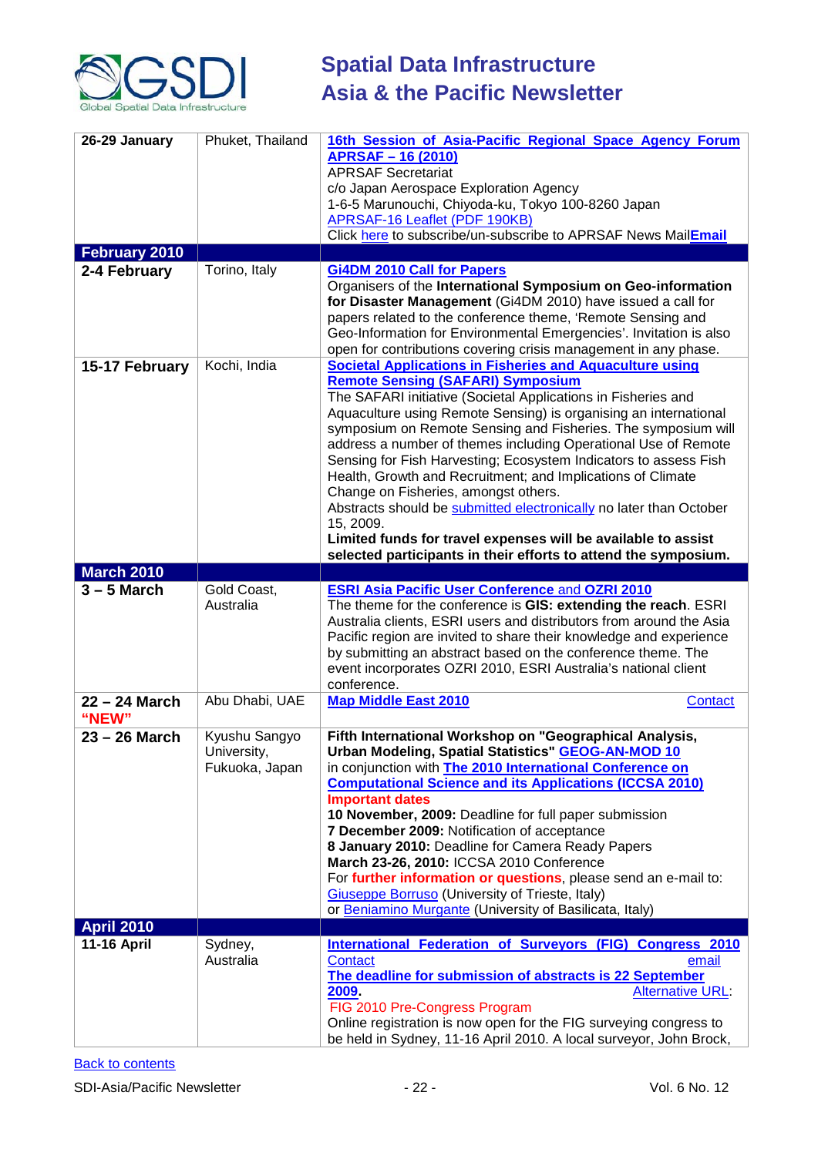

| 26-29 January        | Phuket, Thailand              | 16th Session of Asia-Pacific Regional Space Agency Forum                                                                           |
|----------------------|-------------------------------|------------------------------------------------------------------------------------------------------------------------------------|
|                      |                               | <b>APRSAF-16 (2010)</b>                                                                                                            |
|                      |                               | <b>APRSAF Secretariat</b>                                                                                                          |
|                      |                               | c/o Japan Aerospace Exploration Agency                                                                                             |
|                      |                               | 1-6-5 Marunouchi, Chiyoda-ku, Tokyo 100-8260 Japan<br><b>APRSAF-16 Leaflet (PDF 190KB)</b>                                         |
|                      |                               | Click here to subscribe/un-subscribe to APRSAF News MailEmail                                                                      |
| <b>February 2010</b> |                               |                                                                                                                                    |
| 2-4 February         | Torino, Italy                 | <b>Gi4DM 2010 Call for Papers</b>                                                                                                  |
|                      |                               | Organisers of the International Symposium on Geo-information                                                                       |
|                      |                               | for Disaster Management (Gi4DM 2010) have issued a call for                                                                        |
|                      |                               | papers related to the conference theme, 'Remote Sensing and<br>Geo-Information for Environmental Emergencies'. Invitation is also  |
|                      |                               | open for contributions covering crisis management in any phase.                                                                    |
| 15-17 February       | Kochi, India                  | <b>Societal Applications in Fisheries and Aquaculture using</b>                                                                    |
|                      |                               | <b>Remote Sensing (SAFARI) Symposium</b>                                                                                           |
|                      |                               | The SAFARI initiative (Societal Applications in Fisheries and                                                                      |
|                      |                               | Aquaculture using Remote Sensing) is organising an international                                                                   |
|                      |                               | symposium on Remote Sensing and Fisheries. The symposium will<br>address a number of themes including Operational Use of Remote    |
|                      |                               | Sensing for Fish Harvesting; Ecosystem Indicators to assess Fish                                                                   |
|                      |                               | Health, Growth and Recruitment; and Implications of Climate                                                                        |
|                      |                               | Change on Fisheries, amongst others.                                                                                               |
|                      |                               | Abstracts should be submitted electronically no later than October                                                                 |
|                      |                               | 15, 2009.                                                                                                                          |
|                      |                               | Limited funds for travel expenses will be available to assist<br>selected participants in their efforts to attend the symposium.   |
| <b>March 2010</b>    |                               |                                                                                                                                    |
| $3 - 5$ March        | Gold Coast,                   | <b>ESRI Asia Pacific User Conference and OZRI 2010</b>                                                                             |
|                      | Australia                     | The theme for the conference is GIS: extending the reach. ESRI                                                                     |
|                      |                               | Australia clients, ESRI users and distributors from around the Asia                                                                |
|                      |                               | Pacific region are invited to share their knowledge and experience<br>by submitting an abstract based on the conference theme. The |
|                      |                               | event incorporates OZRI 2010, ESRI Australia's national client                                                                     |
|                      |                               | conference.                                                                                                                        |
| 22 - 24 March        | Abu Dhabi, UAE                | <b>Map Middle East 2010</b><br>Contact                                                                                             |
| "NEW"                |                               |                                                                                                                                    |
| $23 - 26$ March      | Kyushu Sangyo                 | Fifth International Workshop on "Geographical Analysis,                                                                            |
|                      | University,<br>Fukuoka, Japan | <b>Urban Modeling, Spatial Statistics" GEOG-AN-MOD 10</b><br>in conjunction with <b>The 2010 International Conference on</b>       |
|                      |                               | <b>Computational Science and its Applications (ICCSA 2010)</b>                                                                     |
|                      |                               | <b>Important dates</b>                                                                                                             |
|                      |                               | 10 November, 2009: Deadline for full paper submission                                                                              |
|                      |                               | 7 December 2009: Notification of acceptance                                                                                        |
|                      |                               | 8 January 2010: Deadline for Camera Ready Papers                                                                                   |
|                      |                               | March 23-26, 2010: ICCSA 2010 Conference<br>For further information or questions, please send an e-mail to:                        |
|                      |                               | <b>Giuseppe Borruso</b> (University of Trieste, Italy)                                                                             |
|                      |                               | or Beniamino Murgante (University of Basilicata, Italy)                                                                            |
| <b>April 2010</b>    |                               |                                                                                                                                    |
| <b>11-16 April</b>   | Sydney,                       | <b>International Federation of Surveyors (FIG) Congress 2010</b>                                                                   |
|                      | Australia                     | Contact<br>email                                                                                                                   |
|                      |                               | The deadline for submission of abstracts is 22 September<br>2009<br><b>Alternative URL:</b>                                        |
|                      |                               |                                                                                                                                    |
|                      |                               |                                                                                                                                    |
|                      |                               | FIG 2010 Pre-Congress Program<br>Online registration is now open for the FIG surveying congress to                                 |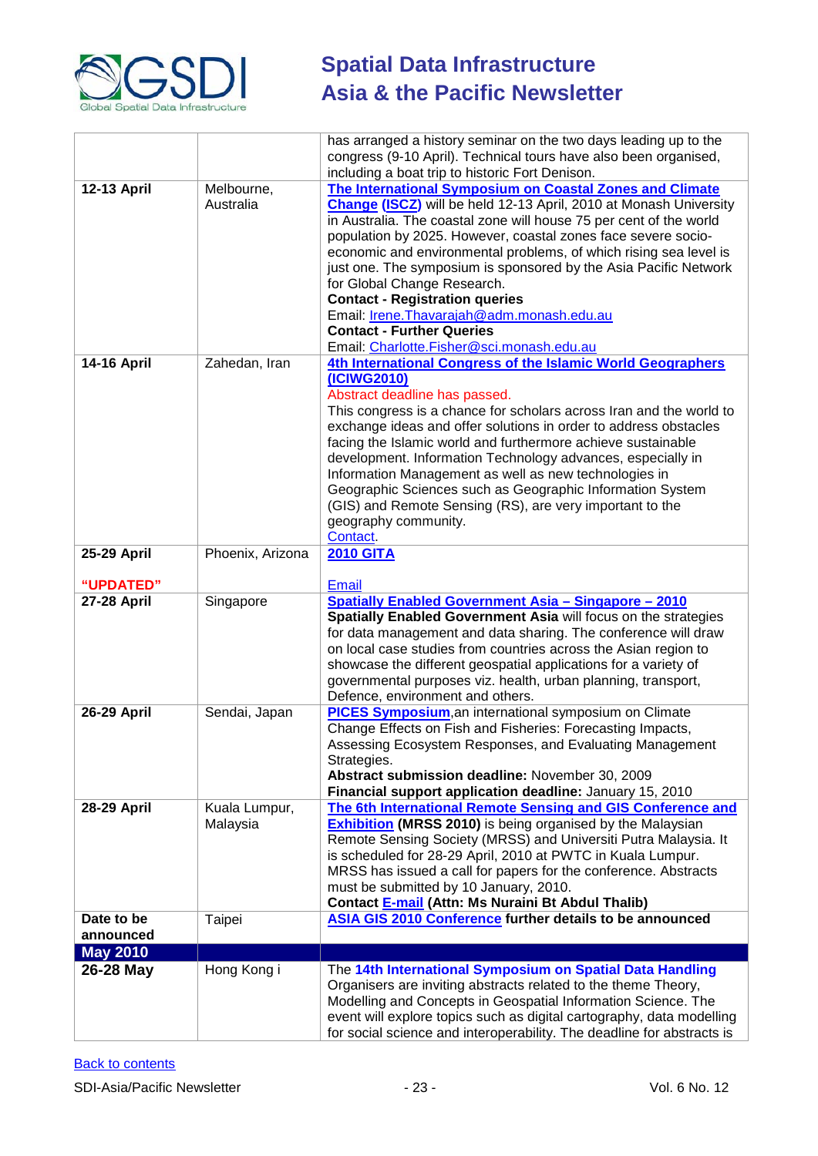

|                          |                           | has arranged a history seminar on the two days leading up to the<br>congress (9-10 April). Technical tours have also been organised,<br>including a boat trip to historic Fort Denison.                                                                                                                                                                                                                                                                                                                                                                                                                               |
|--------------------------|---------------------------|-----------------------------------------------------------------------------------------------------------------------------------------------------------------------------------------------------------------------------------------------------------------------------------------------------------------------------------------------------------------------------------------------------------------------------------------------------------------------------------------------------------------------------------------------------------------------------------------------------------------------|
| 12-13 April              | Melbourne,<br>Australia   | The International Symposium on Coastal Zones and Climate<br>Change (ISCZ) will be held 12-13 April, 2010 at Monash University<br>in Australia. The coastal zone will house 75 per cent of the world<br>population by 2025. However, coastal zones face severe socio-<br>economic and environmental problems, of which rising sea level is<br>just one. The symposium is sponsored by the Asia Pacific Network<br>for Global Change Research.<br><b>Contact - Registration queries</b><br>Email: Irene. Thavarajah@adm. monash.edu.au<br><b>Contact - Further Queries</b><br>Email: Charlotte.Fisher@sci.monash.edu.au |
| <b>14-16 April</b>       | Zahedan, Iran             | 4th International Congress of the Islamic World Geographers<br>(ICIWG2010)<br>Abstract deadline has passed.<br>This congress is a chance for scholars across Iran and the world to<br>exchange ideas and offer solutions in order to address obstacles<br>facing the Islamic world and furthermore achieve sustainable<br>development. Information Technology advances, especially in<br>Information Management as well as new technologies in<br>Geographic Sciences such as Geographic Information System<br>(GIS) and Remote Sensing (RS), are very important to the<br>geography community.<br>Contact.           |
| 25-29 April<br>"UPDATED" | Phoenix, Arizona          | <b>2010 GITA</b><br><b>Email</b>                                                                                                                                                                                                                                                                                                                                                                                                                                                                                                                                                                                      |
| <b>27-28 April</b>       | Singapore                 | <b>Spatially Enabled Government Asia - Singapore - 2010</b><br>Spatially Enabled Government Asia will focus on the strategies<br>for data management and data sharing. The conference will draw<br>on local case studies from countries across the Asian region to<br>showcase the different geospatial applications for a variety of<br>governmental purposes viz. health, urban planning, transport,<br>Defence, environment and others.                                                                                                                                                                            |
| <b>26-29 April</b>       | Sendai, Japan             | <b>PICES Symposium, an international symposium on Climate</b><br>Change Effects on Fish and Fisheries: Forecasting Impacts,<br>Assessing Ecosystem Responses, and Evaluating Management<br>Strategies.<br>Abstract submission deadline: November 30, 2009<br>Financial support application deadline: January 15, 2010                                                                                                                                                                                                                                                                                                 |
| 28-29 April              | Kuala Lumpur,<br>Malaysia | The 6th International Remote Sensing and GIS Conference and<br><b>Exhibition (MRSS 2010)</b> is being organised by the Malaysian<br>Remote Sensing Society (MRSS) and Universiti Putra Malaysia. It<br>is scheduled for 28-29 April, 2010 at PWTC in Kuala Lumpur.<br>MRSS has issued a call for papers for the conference. Abstracts<br>must be submitted by 10 January, 2010.<br>Contact E-mail (Attn: Ms Nuraini Bt Abdul Thalib)                                                                                                                                                                                  |
| Date to be<br>announced  | Taipei                    | ASIA GIS 2010 Conference further details to be announced                                                                                                                                                                                                                                                                                                                                                                                                                                                                                                                                                              |
| <b>May 2010</b>          |                           |                                                                                                                                                                                                                                                                                                                                                                                                                                                                                                                                                                                                                       |
| 26-28 May                | Hong Kong i               | The 14th International Symposium on Spatial Data Handling<br>Organisers are inviting abstracts related to the theme Theory,<br>Modelling and Concepts in Geospatial Information Science. The<br>event will explore topics such as digital cartography, data modelling<br>for social science and interoperability. The deadline for abstracts is                                                                                                                                                                                                                                                                       |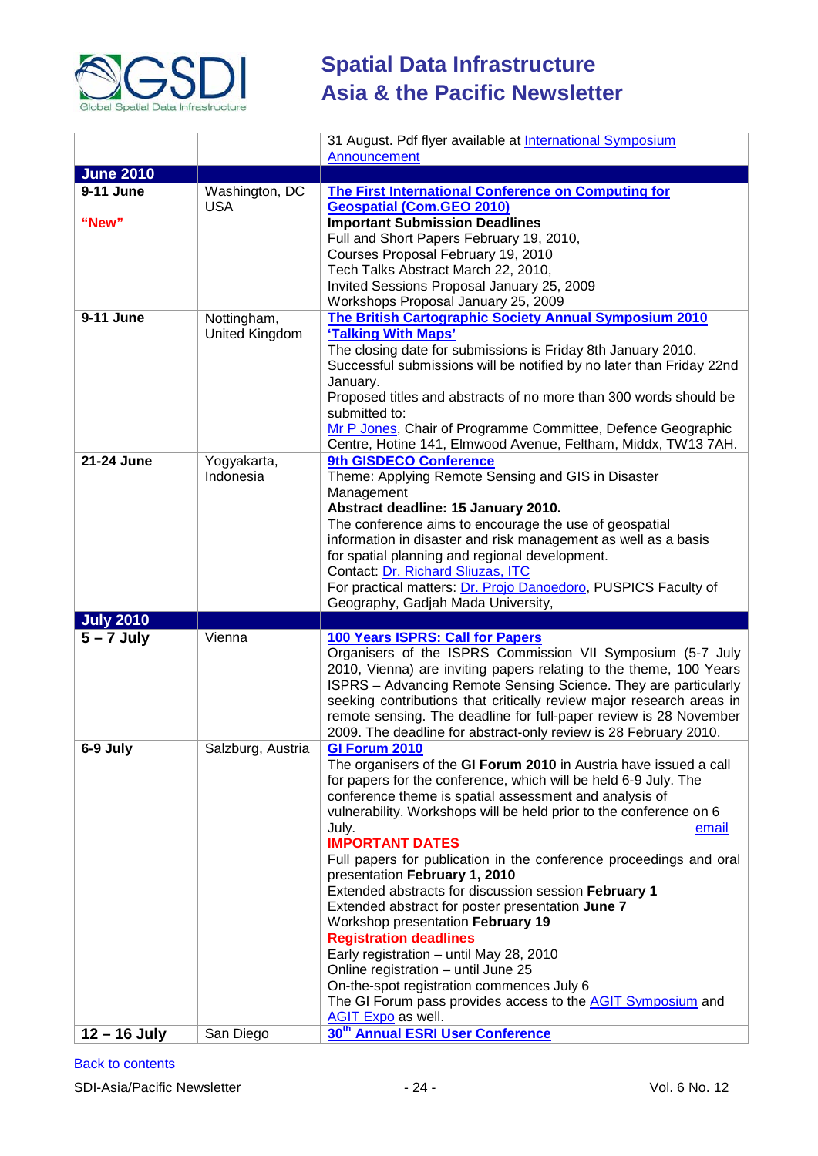

|                  |                   | 31 August. Pdf flyer available at International Symposium                                                                                |
|------------------|-------------------|------------------------------------------------------------------------------------------------------------------------------------------|
|                  |                   | Announcement                                                                                                                             |
| <b>June 2010</b> |                   |                                                                                                                                          |
| 9-11 June        | Washington, DC    | <b>The First International Conference on Computing for</b>                                                                               |
|                  | <b>USA</b>        | <b>Geospatial (Com.GEO 2010)</b>                                                                                                         |
| "New"            |                   | <b>Important Submission Deadlines</b>                                                                                                    |
|                  |                   | Full and Short Papers February 19, 2010,<br>Courses Proposal February 19, 2010                                                           |
|                  |                   | Tech Talks Abstract March 22, 2010,                                                                                                      |
|                  |                   | Invited Sessions Proposal January 25, 2009                                                                                               |
|                  |                   | Workshops Proposal January 25, 2009                                                                                                      |
| 9-11 June        | Nottingham,       | <b>The British Cartographic Society Annual Symposium 2010</b>                                                                            |
|                  | United Kingdom    | 'Talking With Maps'                                                                                                                      |
|                  |                   | The closing date for submissions is Friday 8th January 2010.                                                                             |
|                  |                   | Successful submissions will be notified by no later than Friday 22nd                                                                     |
|                  |                   | January.                                                                                                                                 |
|                  |                   | Proposed titles and abstracts of no more than 300 words should be                                                                        |
|                  |                   | submitted to:                                                                                                                            |
|                  |                   | Mr P Jones, Chair of Programme Committee, Defence Geographic<br>Centre, Hotine 141, Elmwood Avenue, Feltham, Middx, TW13 7AH.            |
| 21-24 June       | Yogyakarta,       | 9th GISDECO Conference                                                                                                                   |
|                  | Indonesia         | Theme: Applying Remote Sensing and GIS in Disaster                                                                                       |
|                  |                   | Management                                                                                                                               |
|                  |                   | Abstract deadline: 15 January 2010.                                                                                                      |
|                  |                   | The conference aims to encourage the use of geospatial                                                                                   |
|                  |                   | information in disaster and risk management as well as a basis                                                                           |
|                  |                   | for spatial planning and regional development.                                                                                           |
|                  |                   | Contact: Dr. Richard Sliuzas, ITC<br>For practical matters: Dr. Projo Danoedoro, PUSPICS Faculty of                                      |
|                  |                   |                                                                                                                                          |
|                  |                   |                                                                                                                                          |
|                  |                   | Geography, Gadjah Mada University,                                                                                                       |
| <b>July 2010</b> |                   |                                                                                                                                          |
| $5 - 7$ July     | Vienna            | 100 Years ISPRS: Call for Papers                                                                                                         |
|                  |                   | Organisers of the ISPRS Commission VII Symposium (5-7 July                                                                               |
|                  |                   | 2010, Vienna) are inviting papers relating to the theme, 100 Years<br>ISPRS - Advancing Remote Sensing Science. They are particularly    |
|                  |                   | seeking contributions that critically review major research areas in                                                                     |
|                  |                   | remote sensing. The deadline for full-paper review is 28 November                                                                        |
|                  |                   | 2009. The deadline for abstract-only review is 28 February 2010.                                                                         |
| 6-9 July         | Salzburg, Austria | <b>GI Forum 2010</b>                                                                                                                     |
|                  |                   | The organisers of the GI Forum 2010 in Austria have issued a call                                                                        |
|                  |                   | for papers for the conference, which will be held 6-9 July. The                                                                          |
|                  |                   | conference theme is spatial assessment and analysis of                                                                                   |
|                  |                   | vulnerability. Workshops will be held prior to the conference on 6                                                                       |
|                  |                   | July.<br>email<br><b>IMPORTANT DATES</b>                                                                                                 |
|                  |                   | Full papers for publication in the conference proceedings and oral                                                                       |
|                  |                   | presentation February 1, 2010                                                                                                            |
|                  |                   | Extended abstracts for discussion session February 1                                                                                     |
|                  |                   | Extended abstract for poster presentation June 7                                                                                         |
|                  |                   | Workshop presentation February 19                                                                                                        |
|                  |                   | <b>Registration deadlines</b>                                                                                                            |
|                  |                   | Early registration - until May 28, 2010                                                                                                  |
|                  |                   | Online registration - until June 25                                                                                                      |
|                  |                   | On-the-spot registration commences July 6                                                                                                |
|                  |                   | The GI Forum pass provides access to the <b>AGIT Symposium</b> and<br>AGIT Expo as well.<br>30 <sup>th</sup> Annual ESRI User Conference |